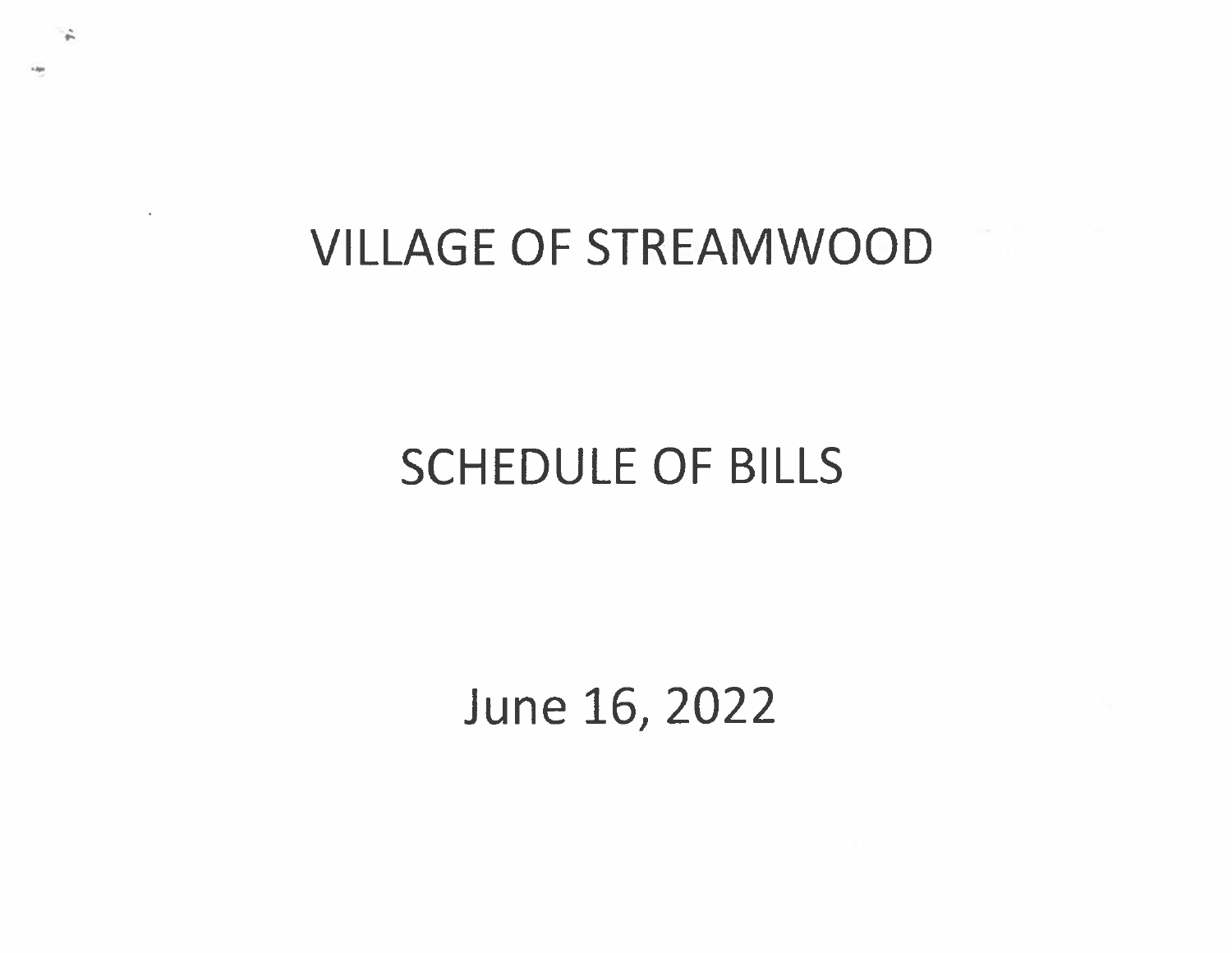# VILLAGE OF STREAM WOOD

# SCHEDULE OF BILLS

June 16, 2022

I".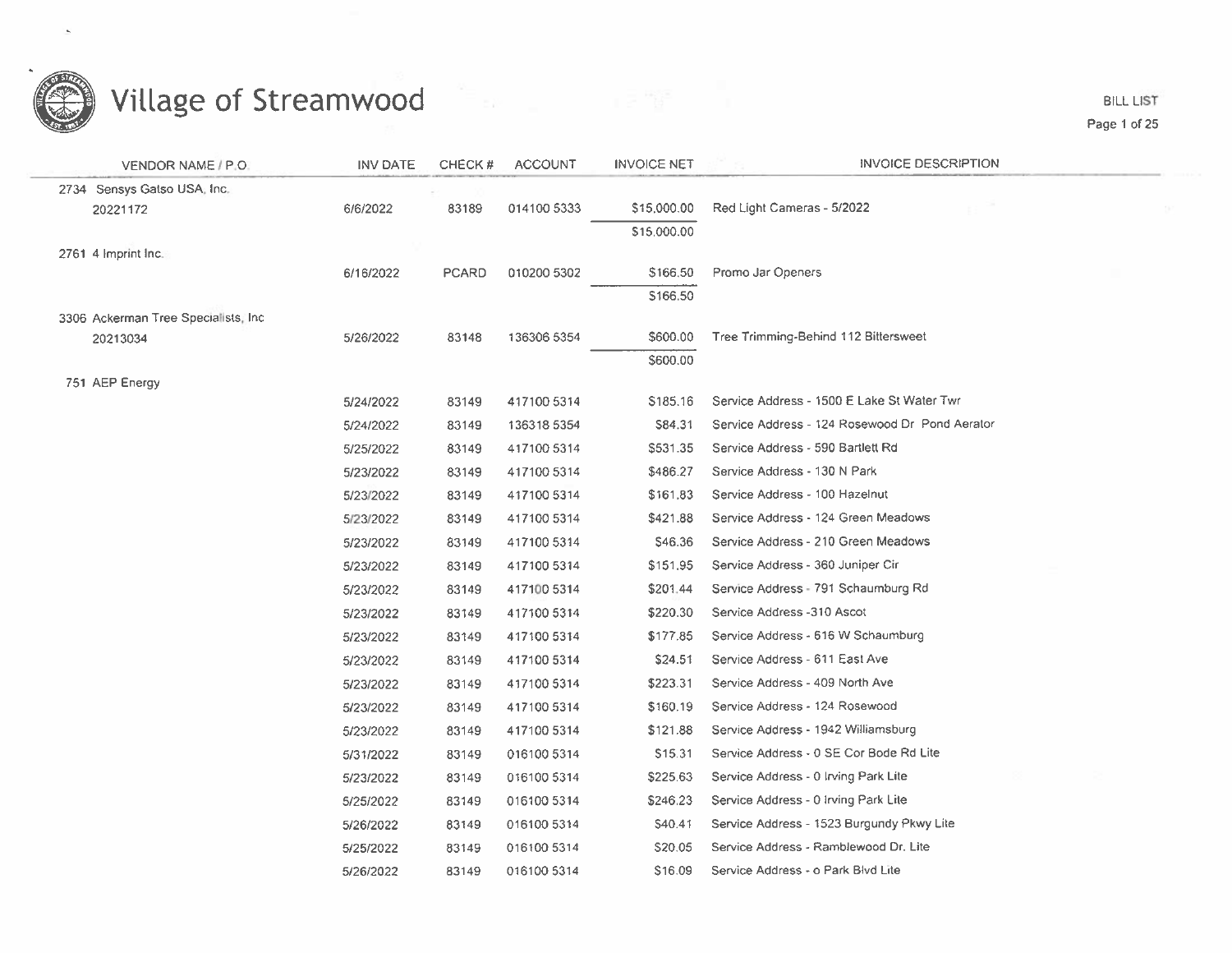

**BILL LIST** Page 1 of 25

| VENDOR NAME / P.O.                   | <b>INV DATE</b> | CHECK#       | <b>ACCOUNT</b> | <b>INVOICE NET</b> | <b>INVOICE DESCRIPTION</b>                     |  |
|--------------------------------------|-----------------|--------------|----------------|--------------------|------------------------------------------------|--|
| 2734 Sensys Gatso USA, Inc.          |                 |              |                |                    |                                                |  |
| 20221172                             | 6/6/2022        | 83189        | 014100 5333    | \$15,000.00        | Red Light Cameras - 5/2022                     |  |
|                                      |                 |              |                | \$15,000.00        |                                                |  |
| 2761 4 Imprint Inc.                  |                 |              |                |                    |                                                |  |
|                                      | 6/16/2022       | <b>PCARD</b> | 010200 5302    | \$166,50           | Promo Jar Openers                              |  |
|                                      |                 |              |                | \$166.50           |                                                |  |
| 3306 Ackerman Tree Specialists, Inc. |                 |              |                |                    |                                                |  |
| 20213034                             | 5/26/2022       | 83148        | 136306 5354    | \$600.00           | Tree Trimming-Behind 112 Bittersweet           |  |
|                                      |                 |              |                | \$600.00           |                                                |  |
| 751 AEP Energy                       | 5/24/2022       | 83149        | 417100 5314    | \$185.16           | Service Address - 1500 E Lake St Water Twr     |  |
|                                      | 5/24/2022       | 83149        | 136318 5354    | S84.31             | Service Address - 124 Rosewood Dr Pond Aerator |  |
|                                      | 5/25/2022       | 83149        | 417100 5314    | \$531.35           | Service Address - 590 Bartlett Rd              |  |
|                                      | 5/23/2022       | 83149        | 417100 5314    | \$486.27           | Service Address - 130 N Park                   |  |
|                                      | 5/23/2022       | 83149        | 417100 5314    | \$161.83           | Service Address - 100 Hazelnut                 |  |
|                                      | 5/23/2022       | 83149        | 417100 5314    | \$421.88           | Service Address - 124 Green Meadows            |  |
|                                      | 5/23/2022       | 83149        | 417100 5314    | S46.36             | Service Address - 210 Green Meadows            |  |
|                                      | 5/23/2022       | 83149        | 417100 5314    | \$151.95           | Service Address - 360 Juniper Cir              |  |
|                                      | 5/23/2022       | 83149        | 417100 5314    | \$201.44           | Service Address - 791 Schaumburg Rd            |  |
|                                      | 5/23/2022       | 83149        | 417100 5314    | \$220.30           | Service Address -310 Ascot                     |  |
|                                      | 5/23/2022       | 83149        | 417100 5314    | \$177.85           | Service Address - 616 W Schaumburg             |  |
|                                      | 5/23/2022       | 83149        | 417100 5314    | \$24.51            | Service Address - 611 East Ave                 |  |
|                                      | 5/23/2022       | 83149        | 417100 5314    | \$223.31           | Service Address - 409 North Ave                |  |
|                                      | 5/23/2022       | 83149        | 417100 5314    | \$160.19           | Service Address - 124 Rosewood                 |  |
|                                      | 5/23/2022       | 83149        | 417100 5314    | \$121.88           | Service Address - 1942 Williamsburg            |  |
|                                      | 5/31/2022       | 83149        | 016100 5314    | \$15.31            | Service Address - 0 SE Cor Bode Rd Lite        |  |
|                                      | 5/23/2022       | 83149        | 016100 5314    | \$225.63           | Service Address - 0 Irving Park Lite           |  |
|                                      | 5/25/2022       | 83149        | 016100 5314    | \$246.23           | Service Address - 0 Irving Park Lite           |  |
|                                      | 5/26/2022       | 83149        | 016100 5314    | \$40.41            | Service Address - 1523 Burgundy Pkwy Lite      |  |
|                                      | 5/25/2022       | 83149        | 016100 5314    | \$20.05            | Service Address - Ramblewood Dr. Lite          |  |
|                                      | 5/26/2022       | 83149        | 016100 5314    | \$16.09            | Service Address - o Park Blvd Lite             |  |
|                                      |                 |              |                |                    |                                                |  |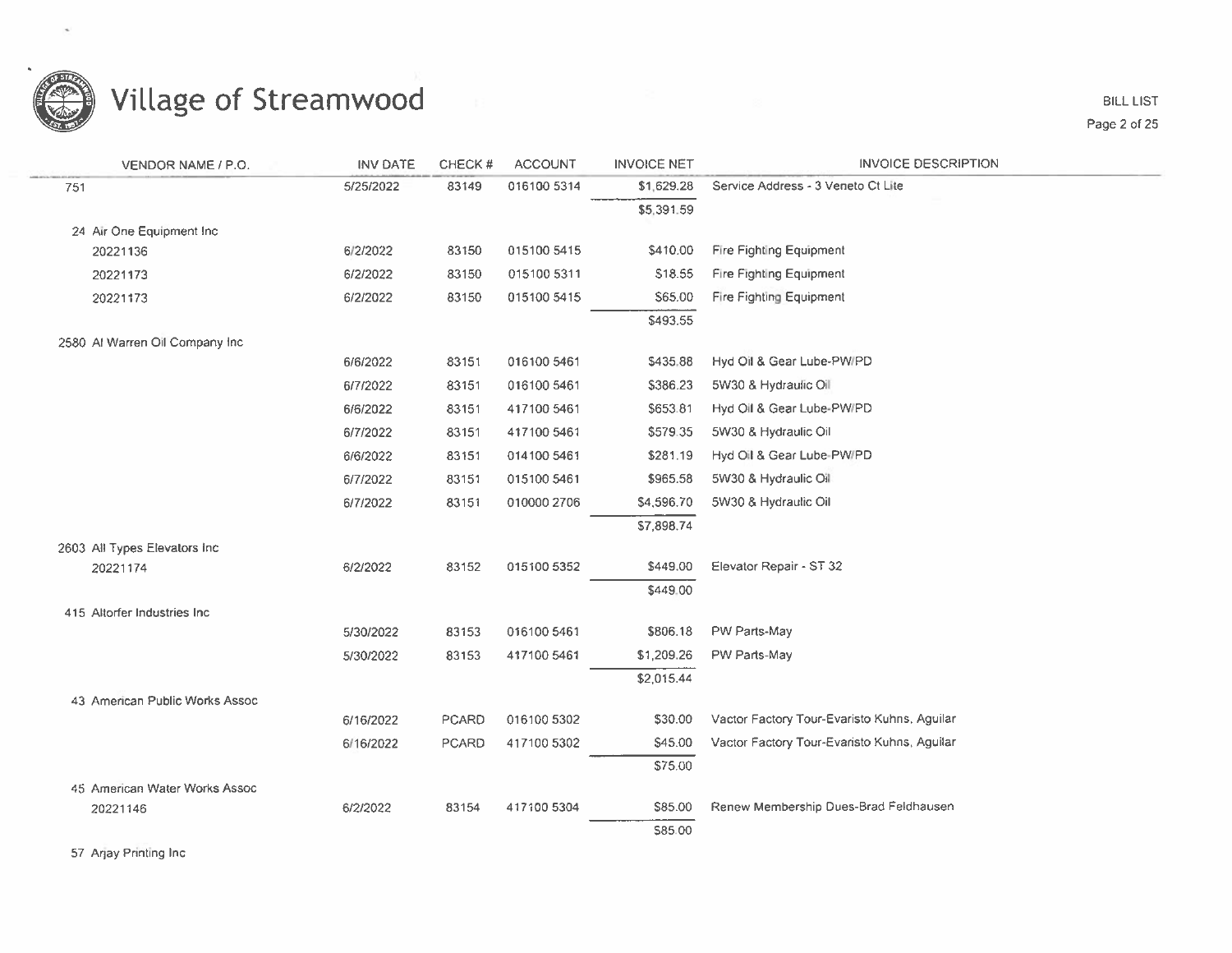

**BILL LIST** Page 2 of 25

| VENDOR NAME / P.O.              | <b>INV DATE</b> | CHECK# | <b>ACCOUNT</b> | <b>INVOICE NET</b> | <b>INVOICE DESCRIPTION</b>                  |
|---------------------------------|-----------------|--------|----------------|--------------------|---------------------------------------------|
| 751                             | 5/25/2022       | 83149  | 016100 5314    | \$1,629.28         | Service Address - 3 Veneto Ct Lite          |
|                                 |                 |        |                | \$5,391.59         |                                             |
| 24 Air One Equipment Inc        |                 |        |                |                    |                                             |
| 20221136                        | 6/2/2022        | 83150  | 015100 5415    | \$410.00           | Fire Fighting Equipment                     |
| 20221173                        | 6/2/2022        | 83150  | 015100 5311    | \$18.55            | Fire Fighting Equipment                     |
| 20221173                        | 6/2/2022        | 83150  | 015100 5415    | \$65.00            | Fire Fighting Equipment                     |
|                                 |                 |        |                | \$493.55           |                                             |
| 2580 Al Warren Oil Company Inc. |                 |        |                |                    |                                             |
|                                 | 6/6/2022        | 83151  | 016100 5461    | \$435.88           | Hyd Oil & Gear Lube-PW/PD                   |
|                                 | 6/7/2022        | 83151  | 016100 5461    | \$386.23           | 5W30 & Hydraulic Oil                        |
|                                 | 6/6/2022        | 83151  | 417100 5461    | \$653.81           | Hyd Oil & Gear Lube-PW/PD                   |
|                                 | 6/7/2022        | 83151  | 417100 5461    | \$579.35           | 5W30 & Hydraulic Oil                        |
|                                 | 6/6/2022        | 83151  | 014100 5461    | \$281.19           | Hyd Oil & Gear Lube-PW/PD                   |
|                                 | 6/7/2022        | 83151  | 015100 5461    | \$965.58           | 5W30 & Hydraulic Oil                        |
|                                 | 6/7/2022        | 83151  | 010000 2706    | \$4,596.70         | 5W30 & Hydraulic Oil                        |
|                                 |                 |        |                | \$7,898.74         |                                             |
| 2603 All Types Elevators Inc.   |                 |        |                |                    |                                             |
| 20221174                        | 6/2/2022        | 83152  | 015100 5352    | \$449.00           | Elevator Repair - ST 32                     |
|                                 |                 |        |                | \$449.00           |                                             |
| 415 Altorfer Industries Inc.    |                 | 83153  | 016100 5461    | \$806.18           | PW Parts-May                                |
|                                 | 5/30/2022       |        |                |                    |                                             |
|                                 | 5/30/2022       | 83153  | 417100 5461    | \$1,209.26         | PW Parts-May                                |
| 43 American Public Works Assoc  |                 |        |                | \$2,015.44         |                                             |
|                                 | 6/16/2022       | PCARD  | 016100 5302    | \$30.00            | Vactor Factory Tour-Evaristo Kuhns, Aguilar |
|                                 | 6/16/2022       | PCARD  | 417100 5302    | \$45.00            | Vactor Factory Tour-Evaristo Kuhns, Aguilar |
|                                 |                 |        |                | \$75.00            |                                             |
| 45 American Water Works Assoc   |                 |        |                |                    |                                             |
| 20221146                        | 6/2/2022        | 83154  | 417100 5304    | \$85.00            | Renew Membership Dues-Brad Feldhausen       |
|                                 |                 |        |                | \$85.00            |                                             |
|                                 |                 |        |                |                    |                                             |

57 Arjay Printing Inc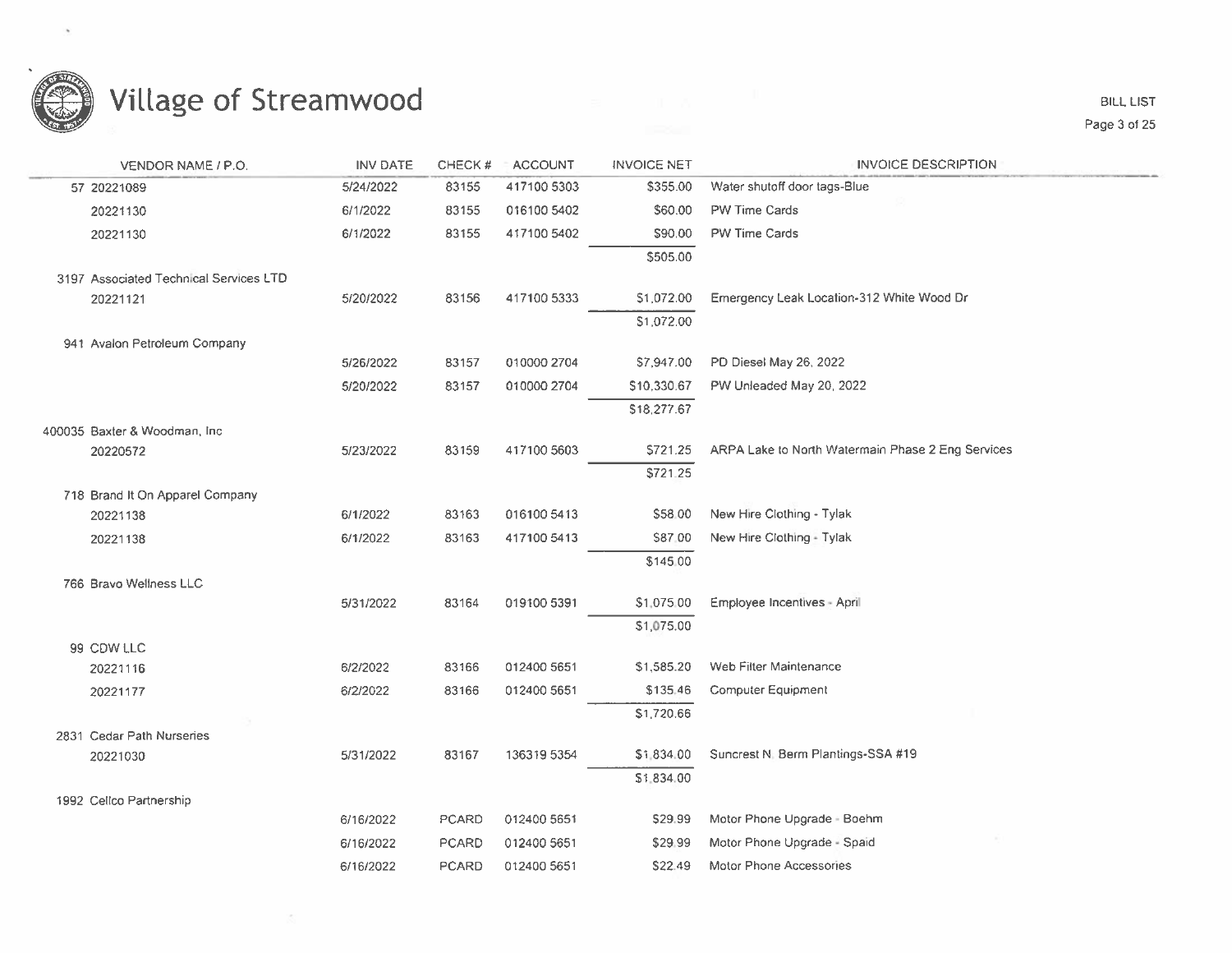

 $\langle \mathcal{R} \rangle$ 

| VENDOR NAME / P.O.                          | <b>INV DATE</b> | CHECK#       | <b>ACCOUNT</b> | <b>INVOICE NET</b> | <b>INVOICE DESCRIPTION</b>                        |
|---------------------------------------------|-----------------|--------------|----------------|--------------------|---------------------------------------------------|
| 57 20221089                                 | 5/24/2022       | 83155        | 417100 5303    | \$355.00           | Water shutoff door tags-Blue                      |
| 20221130                                    | 6/1/2022        | 83155        | 016100 5402    | \$60.00            | PW Time Cards                                     |
| 20221130                                    | 6/1/2022        | 83155        | 417100 5402    | \$90.00            | PW Time Cards                                     |
|                                             |                 |              |                | \$505.00           |                                                   |
| 3197 Associated Technical Services LTD      |                 |              |                |                    |                                                   |
| 20221121                                    | 5/20/2022       | 83156        | 417100 5333    | \$1,072.00         | Emergency Leak Location-312 White Wood Dr         |
|                                             |                 |              |                | \$1,072.00         |                                                   |
| 941 Avalon Petroleum Company                |                 |              |                |                    |                                                   |
|                                             | 5/26/2022       | 83157        | 010000 2704    | \$7,947.00         | PD Diesel May 26, 2022                            |
|                                             | 5/20/2022       | 83157        | 010000 2704    | \$10,330.67        | PW Unleaded May 20, 2022                          |
|                                             |                 |              |                | \$18,277.67        |                                                   |
| 400035 Baxter & Woodman, Inc.               |                 |              |                |                    |                                                   |
| 20220572                                    | 5/23/2022       | 83159        | 417100 5603    | \$721.25           | ARPA Lake to North Watermain Phase 2 Eng Services |
|                                             |                 |              |                | \$721.25           |                                                   |
| 718 Brand It On Apparel Company<br>20221138 | 6/1/2022        | 83163        | 016100 5413    | \$58.00            | New Hire Clothing - Tylak                         |
|                                             | 6/1/2022        | 83163        | 417100 5413    | \$87.00            | New Hire Clothing - Tylak                         |
| 20221138                                    |                 |              |                | \$145.00           |                                                   |
| 766 Bravo Wellness LLC                      |                 |              |                |                    |                                                   |
|                                             | 5/31/2022       | 83164        | 019100 5391    | \$1,075.00         | Employee Incentives - April                       |
|                                             |                 |              |                | \$1,075.00         |                                                   |
| 99 CDW LLC                                  |                 |              |                |                    |                                                   |
| 20221116                                    | 6/2/2022        | 83166        | 012400 5651    | \$1,585.20         | Web Filter Maintenance                            |
| 20221177                                    | 6/2/2022        | 83166        | 012400 5651    | \$135.46           | Computer Equipment                                |
|                                             |                 |              |                | \$1,720.66         |                                                   |
| 2831 Cedar Path Nurseries                   |                 |              |                |                    |                                                   |
| 20221030                                    | 5/31/2022       | 83167        | 136319 5354    | \$1,834.00         | Suncrest N. Berm Plantings-SSA #19                |
|                                             |                 |              |                | \$1,834.00         |                                                   |
| 1992 Cellco Partnership                     |                 |              |                |                    |                                                   |
|                                             | 6/16/2022       | PCARD        | 012400 5651    | \$29.99            | Motor Phone Upgrade - Boehm                       |
|                                             | 6/16/2022       | <b>PCARD</b> | 012400 5651    | \$29.99            | Motor Phone Upgrade - Spaid                       |
|                                             | 6/16/2022       | <b>PCARD</b> | 012400 5651    | \$22.49            | Motor Phone Accessories                           |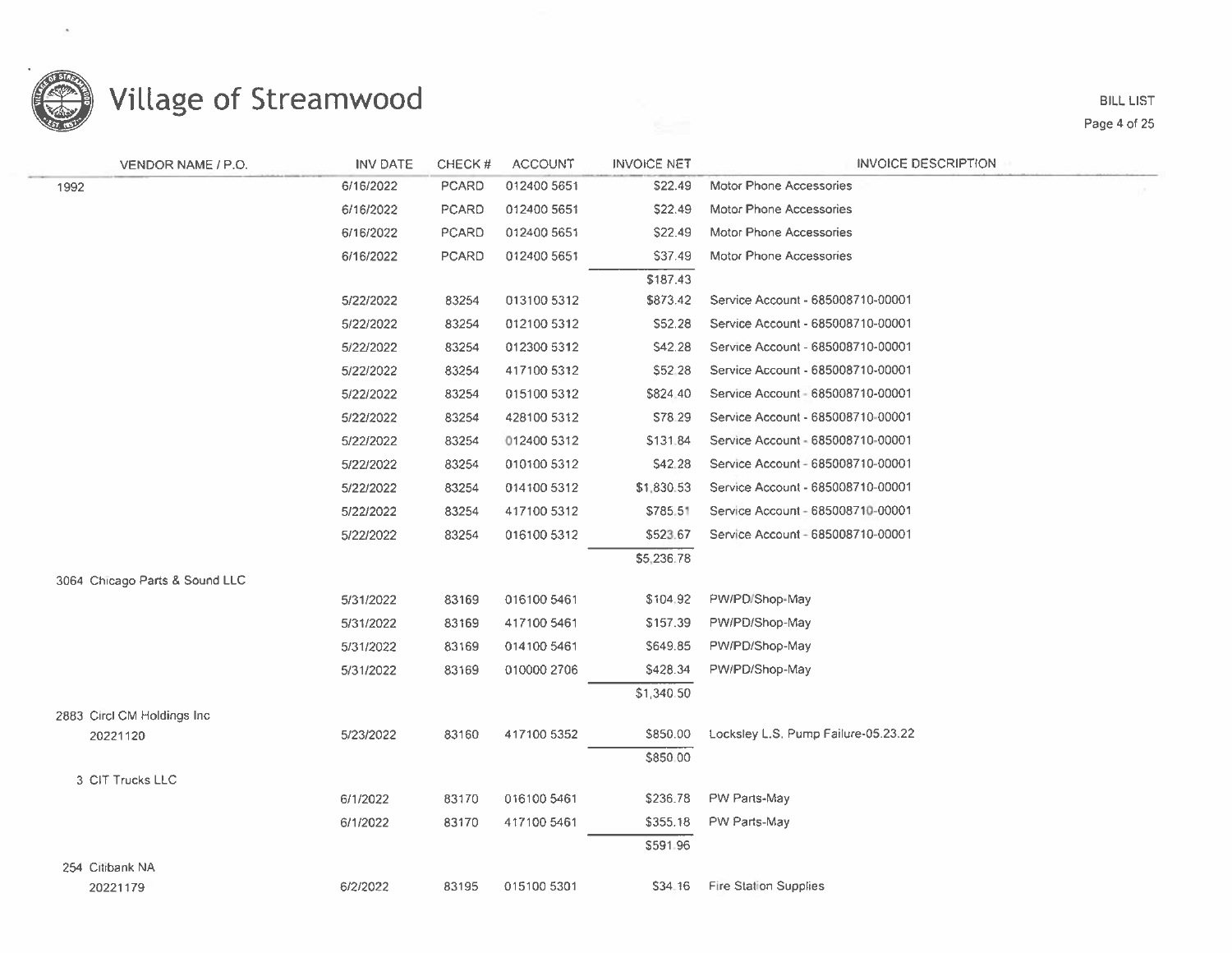

**BILL LIST** Page 4 of 25

| VENDOR NAME / P.O.             | <b>INV DATE</b> | CHECK#       | <b>ACCOUNT</b> | <b>INVOICE NET</b> | <b>INVOICE DESCRIPTION</b>          |
|--------------------------------|-----------------|--------------|----------------|--------------------|-------------------------------------|
| 1992                           | 6/16/2022       | <b>PCARD</b> | 012400 5651    | \$22.49            | <b>Motor Phone Accessories</b>      |
|                                | 6/16/2022       | <b>PCARD</b> | 012400 5651    | \$22.49            | Motor Phone Accessories             |
|                                | 6/16/2022       | <b>PCARD</b> | 012400 5651    | \$22.49            | Motor Phone Accessories             |
|                                | 6/16/2022       | <b>PCARD</b> | 012400 5651    | \$37.49            | Motor Phone Accessories             |
|                                |                 |              |                | \$187.43           |                                     |
|                                | 5/22/2022       | 83254        | 013100 5312    | \$873.42           | Service Account - 685008710-00001   |
|                                | 5/22/2022       | 83254        | 012100 5312    | \$52.28            | Service Account - 685008710-00001   |
|                                | 5/22/2022       | 83254        | 012300 5312    | \$42.28            | Service Account - 685008710-00001   |
|                                | 5/22/2022       | 83254        | 417100 5312    | \$52.28            | Service Account - 685008710-00001   |
|                                | 5/22/2022       | 83254        | 015100 5312    | \$824.40           | Service Account - 685008710-00001   |
|                                | 5/22/2022       | 83254        | 428100 5312    | S78.29             | Service Account - 685008710-00001   |
|                                | 5/22/2022       | 83254        | 012400 5312    | \$131.84           | Service Account - 685008710-00001   |
|                                | 5/22/2022       | 83254        | 010100 5312    | \$42.28            | Service Account - 685008710-00001   |
|                                | 5/22/2022       | 83254        | 014100 5312    | \$1,830.53         | Service Account - 685008710-00001   |
|                                | 5/22/2022       | 83254        | 417100 5312    | \$785.51           | Service Account - 685008710-00001   |
|                                | 5/22/2022       | 83254        | 016100 5312    | \$523.67           | Service Account - 685008710-00001   |
|                                |                 |              |                | \$5,236.78         |                                     |
| 3064 Chicago Parts & Sound LLC |                 |              |                |                    |                                     |
|                                | 5/31/2022       | 83169        | 016100 5461    | \$104.92           | PW/PD/Shop-May                      |
|                                | 5/31/2022       | 83169        | 417100 5461    | \$157.39           | PW/PD/Shop-May                      |
|                                | 5/31/2022       | 83169        | 014100 5461    | \$649.85           | PW/PD/Shop-May                      |
|                                | 5/31/2022       | 83169        | 010000 2706    | \$428.34           | PW/PD/Shop-May                      |
|                                |                 |              |                | \$1,340.50         |                                     |
| 2883 Circl CM Holdings Inc.    |                 |              |                |                    |                                     |
| 20221120                       | 5/23/2022       | 83160        | 417100 5352    | \$850.00           | Locksley L.S. Pump Failure-05.23.22 |
|                                |                 |              |                | \$850.00           |                                     |
| 3 CIT Trucks LLC               |                 |              |                | \$236.78           | PW Parts-May                        |
|                                | 6/1/2022        | 83170        | 016100 5461    |                    |                                     |
|                                | 6/1/2022        | 83170        | 417100 5461    | \$355.18           | PW Parts-May                        |
|                                |                 |              |                | \$591.96           |                                     |
| 254 Citibank NA<br>20221179    | 6/2/2022        | 83195        | 015100 5301    | \$34.16            | <b>Fire Station Supplies</b>        |
|                                |                 |              |                |                    |                                     |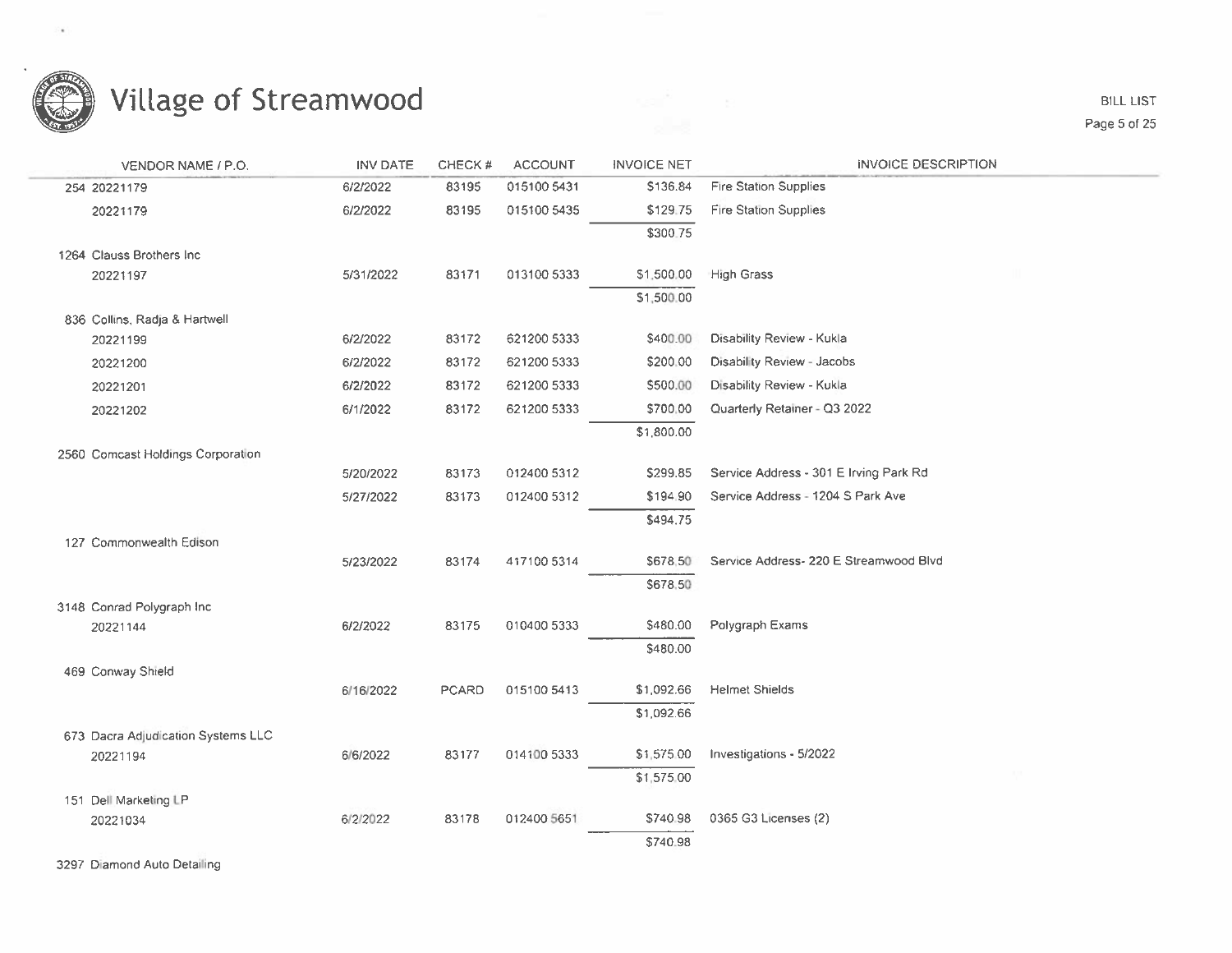

**BILL LIST** Page 5 of 25

| VENDOR NAME / P.O.                 | INV DATE  | CHECK# | <b>ACCOUNT</b> | <b>INVOICE NET</b> | <b>INVOICE DESCRIPTION</b>             |
|------------------------------------|-----------|--------|----------------|--------------------|----------------------------------------|
| 254 20221179                       | 6/2/2022  | 83195  | 015100 5431    | \$136.84           | <b>Fire Station Supplies</b>           |
| 20221179                           | 6/2/2022  | 83195  | 015100 5435    | \$129.75           | <b>Fire Station Supplies</b>           |
|                                    |           |        |                | \$300.75           |                                        |
| 1264 Clauss Brothers Inc           |           |        |                |                    |                                        |
| 20221197                           | 5/31/2022 | 83171  | 013100 5333    | \$1,500.00         | <b>High Grass</b>                      |
|                                    |           |        |                | \$1,500.00         |                                        |
| 836 Collins, Radja & Hartwell      |           |        |                |                    |                                        |
| 20221199                           | 6/2/2022  | 83172  | 621200 5333    | \$400.00           | Disability Review - Kukla              |
| 20221200                           | 6/2/2022  | 83172  | 621200 5333    | \$200.00           | Disability Review - Jacobs             |
| 20221201                           | 6/2/2022  | 83172  | 621200 5333    | \$500.00           | Disability Review - Kukla              |
| 20221202                           | 6/1/2022  | 83172  | 621200 5333    | \$700.00           | Quarterly Retainer - Q3 2022           |
|                                    |           |        |                | \$1,800.00         |                                        |
| 2560 Comcast Holdings Corporation  |           |        |                |                    |                                        |
|                                    | 5/20/2022 | 83173  | 012400 5312    | \$299.85           | Service Address - 301 E Irving Park Rd |
|                                    | 5/27/2022 | 83173  | 012400 5312    | \$194.90           | Service Address - 1204 S Park Ave      |
|                                    |           |        |                | \$494.75           |                                        |
| 127 Commonwealth Edison            |           |        |                |                    |                                        |
|                                    | 5/23/2022 | 83174  | 417100 5314    | \$678.50           | Service Address- 220 E Streamwood Blvd |
|                                    |           |        |                | \$678,50           |                                        |
| 3148 Conrad Polygraph Inc.         |           |        |                |                    |                                        |
| 20221144                           | 6/2/2022  | 83175  | 010400 5333    | \$480.00           | Polygraph Exams                        |
|                                    |           |        |                | \$480.00           |                                        |
| 469 Conway Shield                  | 6/16/2022 | PCARD  | 015100 5413    | \$1,092.66         | <b>Helmet Shields</b>                  |
|                                    |           |        |                | \$1,092.66         |                                        |
| 673 Dacra Adjudication Systems LLC |           |        |                |                    |                                        |
| 20221194                           | 6/6/2022  | 83177  | 014100 5333    | \$1,575.00         | Investigations - 5/2022                |
|                                    |           |        |                | \$1,575.00         |                                        |
| 151 Dell Marketing LP              |           |        |                |                    |                                        |
| 20221034                           | 6/2/2022  | 83178  | 012400 5651    | \$740.98           | 0365 G3 Licenses (2)                   |
|                                    |           |        |                | \$740.98           |                                        |
|                                    |           |        |                |                    |                                        |

3297 Diamond Auto Detailing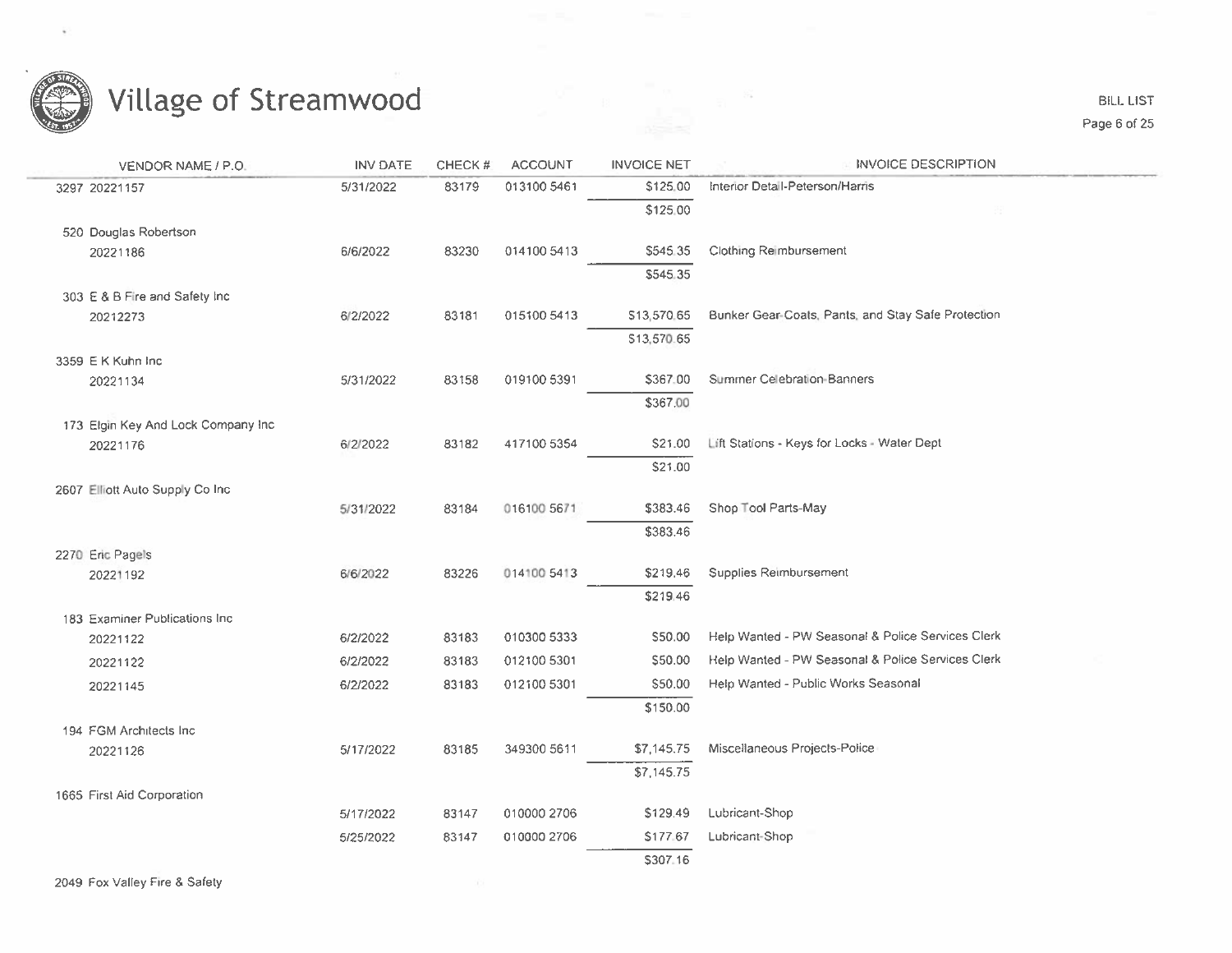

**BILL LIST** Page 6 of 25

| VENDOR NAME / P.O.                  | <b>INV DATE</b> | CHECK # | <b>ACCOUNT</b> | <b>INVOICE NET</b> | <b>INVOICE DESCRIPTION</b>                         |
|-------------------------------------|-----------------|---------|----------------|--------------------|----------------------------------------------------|
| 3297 20221157                       | 5/31/2022       | 83179   | 013100 5461    | \$125.00           | Interior Detail-Peterson/Harris                    |
|                                     |                 |         |                | \$125.00           |                                                    |
| 520 Douglas Robertson               |                 |         |                |                    |                                                    |
| 20221186                            | 6/6/2022        | 83230   | 014100 5413    | \$545.35           | <b>Clothing Reimbursement</b>                      |
|                                     |                 |         |                | \$545.35           |                                                    |
| 303 E & B Fire and Safety Inc.      |                 |         |                |                    |                                                    |
| 20212273                            | 6/2/2022        | 83181   | 015100 5413    | \$13,570.65        | Bunker Gear-Coats, Pants, and Stay Safe Protection |
|                                     |                 |         |                | \$13,570.65        |                                                    |
| 3359 E K Kuhn Inc                   |                 |         |                |                    |                                                    |
| 20221134                            | 5/31/2022       | 83158   | 019100 5391    | \$367.00           | Summer Celebration-Banners                         |
|                                     |                 |         |                | \$367.00           |                                                    |
| 173 Elgin Key And Lock Company Inc. |                 |         |                |                    |                                                    |
| 20221176                            | 6/2/2022        | 83182   | 417100 5354    | \$21.00            | Lift Stations - Keys for Locks - Water Dept        |
|                                     |                 |         |                | \$21.00            |                                                    |
| 2607 Elliott Auto Supply Co Inc.    |                 |         |                |                    |                                                    |
|                                     | 5/31/2022       | 83184   | 016100 5671    | \$383.46           | Shop Tool Parts-May                                |
|                                     |                 |         |                | \$383.46           |                                                    |
| 2270 Eric Pagels                    |                 |         |                |                    |                                                    |
| 20221192                            | 6/6/2022        | 83226   | 014100 5413    | \$219.46           | Supplies Reimbursement                             |
|                                     |                 |         |                | \$219.46           |                                                    |
| 183 Examiner Publications Inc.      | 6/2/2022        | 83183   | 010300 5333    | \$50.00            | Help Wanted - PW Seasonal & Police Services Clerk  |
| 20221122                            |                 |         |                | \$50.00            | Help Wanted - PW Seasonal & Police Services Clerk  |
| 20221122                            | 6/2/2022        | 83183   | 012100 5301    |                    |                                                    |
| 20221145                            | 6/2/2022        | 83183   | 012100 5301    | \$50.00            | Help Wanted - Public Works Seasonal                |
|                                     |                 |         |                | \$150.00           |                                                    |
| 194 FGM Architects Inc.             |                 |         |                |                    | Miscellaneous Projects-Police                      |
| 20221126                            | 5/17/2022       | 83185   | 349300 5611    | \$7,145.75         |                                                    |
|                                     |                 |         |                | \$7,145.75         |                                                    |
| 1665 First Aid Corporation          |                 | 83147   | 010000 2706    | \$129.49           | Lubricant-Shop                                     |
|                                     | 5/17/2022       |         |                |                    |                                                    |
|                                     | 5/25/2022       | 83147   | 010000 2706    | \$177.67           | Lubricant-Shop                                     |
|                                     |                 |         |                | \$307.16           |                                                    |
| 2049 Fox Valley Fire & Safety       |                 |         |                |                    |                                                    |

 $\begin{array}{ll} \mathbb{R}^n & \mathbb{R}^n \\ \frac{1}{\log n} & \mathbb{R}^n \end{array}$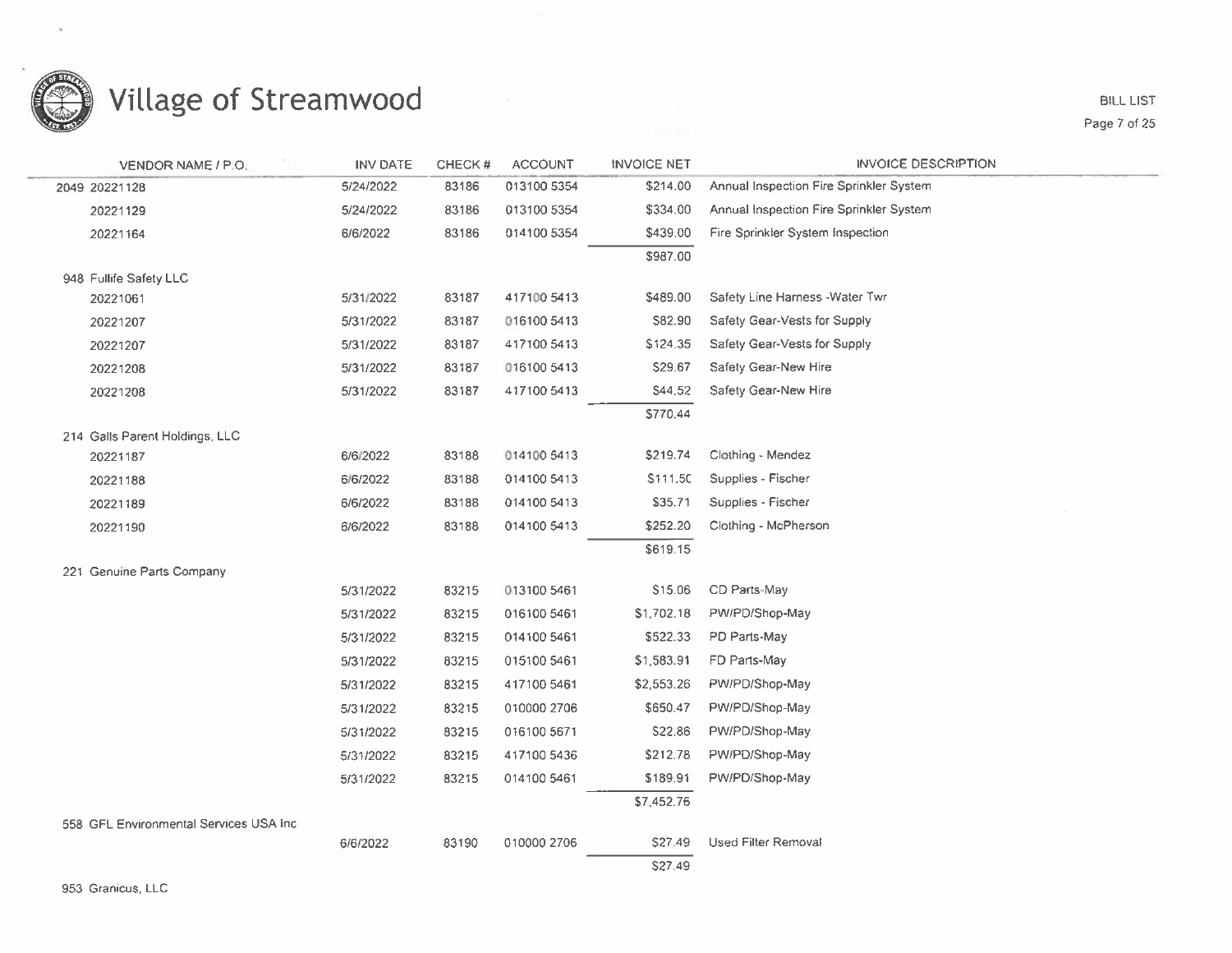

| <b>VENDOR NAME / P.O.</b>               | INV DATE  | CHECK# | <b>ACCOUNT</b> | <b>INVOICE NET</b> | <b>INVOICE DESCRIPTION</b>              |
|-----------------------------------------|-----------|--------|----------------|--------------------|-----------------------------------------|
| 2049 20221128                           | 5/24/2022 | 83186  | 013100 5354    | \$214.00           | Annual Inspection Fire Sprinkler System |
| 20221129                                | 5/24/2022 | 83186  | 013100 5354    | \$334.00           | Annual Inspection Fire Sprinkler System |
| 20221164                                | 6/6/2022  | 83186  | 014100 5354    | \$439.00           | Fire Sprinkler System Inspection        |
|                                         |           |        |                | \$987.00           |                                         |
| 948 Fullife Safety LLC                  |           |        |                |                    |                                         |
| 20221061                                | 5/31/2022 | 83187  | 417100 5413    | \$489.00           | Safety Line Harness - Water Twr         |
| 20221207                                | 5/31/2022 | 83187  | 016100 5413    | \$82.90            | Safety Gear-Vests for Supply            |
| 20221207                                | 5/31/2022 | 83187  | 417100 5413    | \$124.35           | Safety Gear-Vests for Supply            |
| 20221208                                | 5/31/2022 | 83187  | 016100 5413    | \$29.67            | Safety Gear-New Hire                    |
| 20221208                                | 5/31/2022 | 83187  | 417100 5413    | S44.52             | Safety Gear-New Hire                    |
|                                         |           |        |                | \$770.44           |                                         |
| 214 Galls Parent Holdings, LLC          |           |        |                |                    |                                         |
| 20221187                                | 6/6/2022  | 83188  | 014100 5413    | \$219.74           | Clothing - Mendez                       |
| 20221188                                | 6/6/2022  | 83188  | 014100 5413    | \$111.50           | Supplies - Fischer                      |
| 20221189                                | 6/6/2022  | 83188  | 014100 5413    | \$35.71            | Supplies - Fischer                      |
| 20221190                                | 6/6/2022  | 83188  | 014100 5413    | \$252.20           | Clothing - McPherson                    |
|                                         |           |        |                | \$619.15           |                                         |
| 221 Genuine Parts Company               |           |        |                |                    |                                         |
|                                         | 5/31/2022 | 83215  | 013100 5461    | \$15.06            | CD Parts-May                            |
|                                         | 5/31/2022 | 83215  | 016100 5461    | \$1,702.18         | PW/PD/Shop-May                          |
|                                         | 5/31/2022 | 83215  | 014100 5461    | \$522.33           | PD Parts-May                            |
|                                         | 5/31/2022 | 83215  | 015100 5461    | \$1,583.91         | FD Parts-May                            |
|                                         | 5/31/2022 | 83215  | 417100 5461    | \$2,553.26         | PW/PD/Shop-May                          |
|                                         | 5/31/2022 | 83215  | 010000 2706    | \$650.47           | PW/PD/Shop-May                          |
|                                         | 5/31/2022 | 83215  | 016100 5671    | S22.86             | PW/PD/Shop-May                          |
|                                         | 5/31/2022 | 83215  | 417100 5436    | \$212.78           | PW/PD/Shop-May                          |
|                                         | 5/31/2022 | 83215  | 014100 5461    | \$189.91           | PW/PD/Shop-May                          |
|                                         |           |        |                | \$7,452.76         |                                         |
| 558 GFL Environmental Services USA Inc. |           |        |                |                    |                                         |
|                                         | 6/6/2022  | 83190  | 010000 2706    | \$27.49            | Used Filter Removal                     |
|                                         |           |        |                | S27.49             |                                         |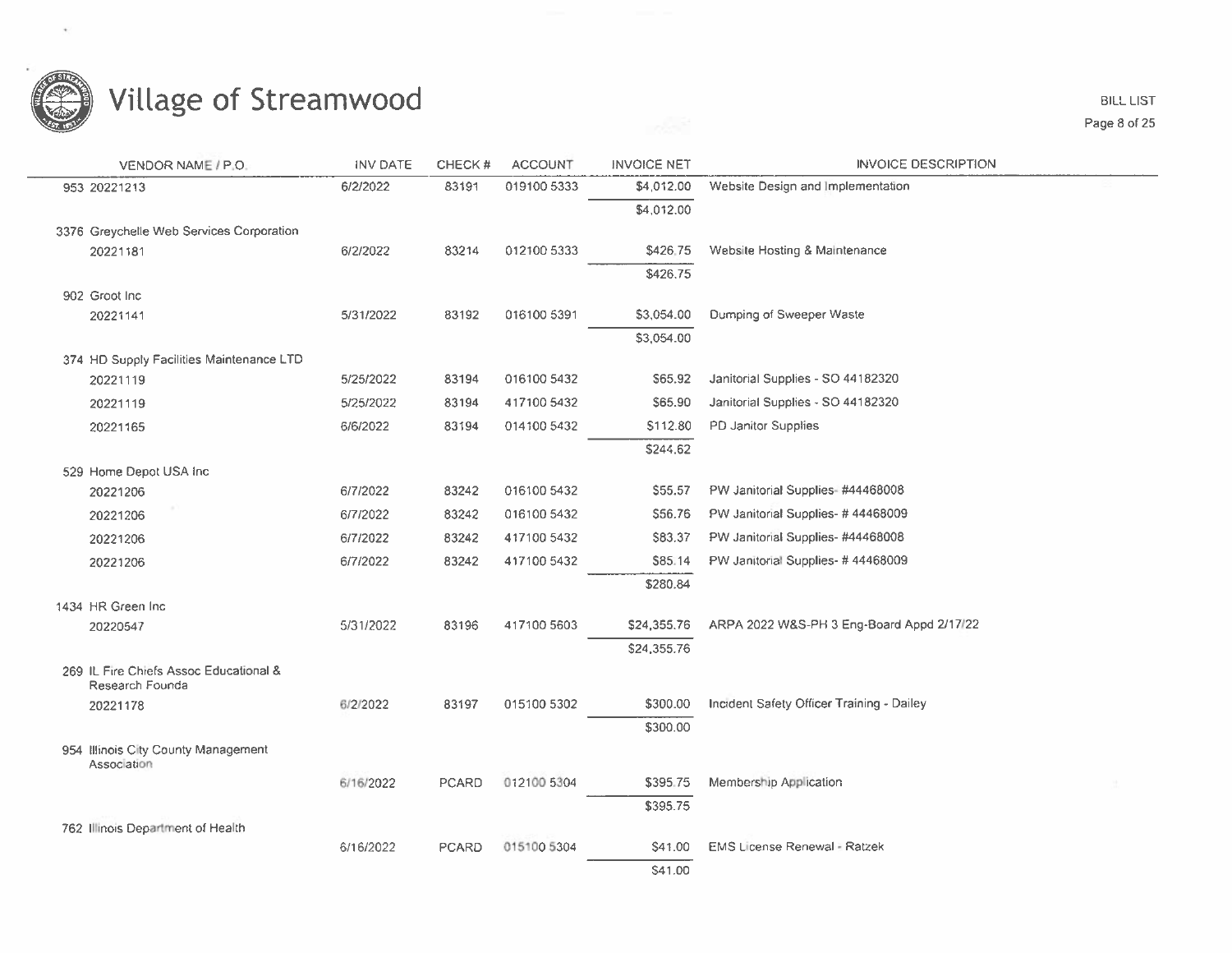

**BILL LIST** Page 8 of 25

| VENDOR NAME / P.O.                                        | <b>INV DATE</b> | CHECK#       | <b>ACCOUNT</b> | <b>INVOICE NET</b> | <b>INVOICE DESCRIPTION</b>                |
|-----------------------------------------------------------|-----------------|--------------|----------------|--------------------|-------------------------------------------|
| 953 20221213                                              | 6/2/2022        | 83191        | 019100 5333    | \$4,012.00         | Website Design and Implementation         |
|                                                           |                 |              |                | \$4,012.00         |                                           |
| 3376 Greychelle Web Services Corporation                  |                 |              |                |                    |                                           |
| 20221181                                                  | 6/2/2022        | 83214        | 012100 5333    | \$426.75           | Website Hosting & Maintenance             |
|                                                           |                 |              |                | \$426.75           |                                           |
| 902 Groot Inc.                                            |                 |              |                |                    |                                           |
| 20221141                                                  | 5/31/2022       | 83192        | 016100 5391    | \$3,054.00         | Dumping of Sweeper Waste                  |
|                                                           |                 |              |                | \$3,054.00         |                                           |
| 374 HD Supply Facilities Maintenance LTD                  |                 |              |                |                    |                                           |
| 20221119                                                  | 5/25/2022       | 83194        | 016100 5432    | S65.92             | Janitorial Supplies - SO 44182320         |
| 20221119                                                  | 5/25/2022       | 83194        | 417100 5432    | \$65.90            | Janitorial Supplies - SO 44182320         |
| 20221165                                                  | 6/6/2022        | 83194        | 014100 5432    | \$112.80           | PD Janitor Supplies                       |
|                                                           |                 |              |                | \$244.62           |                                           |
| 529 Home Depot USA Inc                                    |                 |              |                |                    |                                           |
| 20221206                                                  | 6/7/2022        | 83242        | 016100 5432    | \$55.57            | PW Janitorial Supplies-#44468008          |
| 20221206                                                  | 6/7/2022        | 83242        | 016100 5432    | \$56.76            | PW Janitorial Supplies- #44468009         |
| 20221206                                                  | 6/7/2022        | 83242        | 417100 5432    | S83.37             | PW Janitorial Supplies- #44468008         |
| 20221206                                                  | 6/7/2022        | 83242        | 417100 5432    | \$85.14            | PW Janitorial Supplies- #44468009         |
|                                                           |                 |              |                | \$280.84           |                                           |
| 1434 HR Green Inc                                         |                 |              |                |                    |                                           |
| 20220547                                                  | 5/31/2022       | 83196        | 417100 5603    | \$24,355.76        | ARPA 2022 W&S-PH 3 Eng-Board Appd 2/17/22 |
|                                                           |                 |              |                | \$24,355.76        |                                           |
| 269 IL Fire Chiefs Assoc Educational &<br>Research Founda |                 |              |                |                    |                                           |
| 20221178                                                  | 6/2/2022        | 83197        | 015100 5302    | \$300.00           | Incident Safety Officer Training - Dailey |
|                                                           |                 |              |                | \$300.00           |                                           |
| 954 Illinois City County Management                       |                 |              |                |                    |                                           |
| Association                                               | 6/16/2022       | <b>PCARD</b> | 012100 5304    | \$395.75           | Membership Application                    |
|                                                           |                 |              |                | \$395.75           |                                           |
| 762 Illinois Department of Health                         |                 |              |                |                    |                                           |
|                                                           | 6/16/2022       | <b>PCARD</b> | 015100 5304    | S41.00             | <b>EMS License Renewal - Ratzek</b>       |
|                                                           |                 |              |                | \$41.00            |                                           |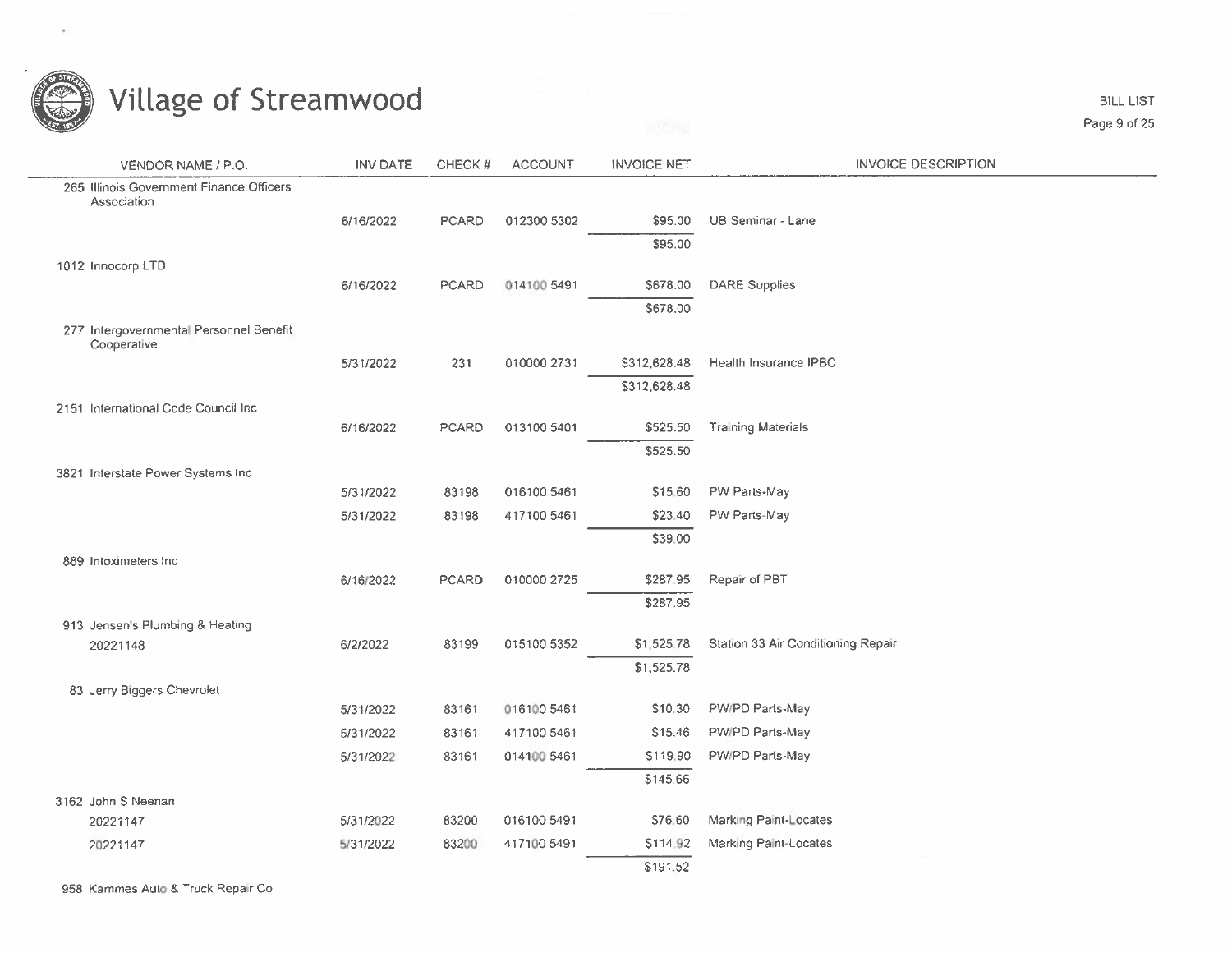

| VENDOR NAME / P.O.                                      | <b>INV DATE</b> | CHECK#       | <b>ACCOUNT</b> | <b>INVOICE NET</b> | <b>INVOICE DESCRIPTION</b>         |
|---------------------------------------------------------|-----------------|--------------|----------------|--------------------|------------------------------------|
| 265 Illinois Government Finance Officers<br>Association |                 |              |                |                    |                                    |
|                                                         | 6/16/2022       | PCARD        | 012300 5302    | \$95.00            | UB Seminar - Lane                  |
|                                                         |                 |              |                | \$95.00            |                                    |
| 1012 Innocorp LTD                                       |                 |              |                |                    |                                    |
|                                                         | 6/16/2022       | PCARD        | 014100 5491    | \$678.00           | <b>DARE Supplies</b>               |
|                                                         |                 |              |                | \$678.00           |                                    |
| 277 Intergovernmental Personnel Benefit<br>Cooperative  |                 |              |                |                    |                                    |
|                                                         | 5/31/2022       | 231          | 010000 2731    | \$312,628.48       | Health Insurance IPBC              |
|                                                         |                 |              |                | \$312,628.48       |                                    |
| 2151 International Code Council Inc.                    |                 |              |                |                    |                                    |
|                                                         | 6/16/2022       | <b>PCARD</b> | 013100 5401    | \$525.50           | <b>Training Materials</b>          |
|                                                         |                 |              |                | \$525.50           |                                    |
| 3821 Interstate Power Systems Inc                       | 5/31/2022       | 83198        | 016100 5461    | \$15.60            | PW Parts-May                       |
|                                                         | 5/31/2022       | 83198        | 417100 5461    | \$23.40            | PW Parts-May                       |
|                                                         |                 |              |                | \$39.00            |                                    |
| 889 Intoximeters Inc.                                   |                 |              |                |                    |                                    |
|                                                         | 6/16/2022       | <b>PCARD</b> | 010000 2725    | \$287.95           | Repair of PBT                      |
|                                                         |                 |              |                | \$287.95           |                                    |
| 913 Jensen's Plumbing & Heating                         |                 |              |                |                    |                                    |
| 20221148                                                | 6/2/2022        | 83199        | 015100 5352    | \$1,525.78         | Station 33 Air Conditioning Repair |
|                                                         |                 |              |                | \$1,525.78         |                                    |
| 83 Jerry Biggers Chevrolet                              |                 |              |                |                    |                                    |
|                                                         | 5/31/2022       | 83161        | 016100 5461    | \$10.30            | PW/PD Parts-May                    |
|                                                         | 5/31/2022       | 83161        | 417100 5461    | S15.46             | PW/PD Parts-May                    |
|                                                         | 5/31/2022       | 83161        | 014100 5461    | \$119,90           | PW/PD Parts-May                    |
|                                                         |                 |              |                | \$145.66           |                                    |
| 3162 John S Neenan                                      |                 |              |                |                    |                                    |
| 20221147                                                | 5/31/2022       | 83200        | 016100 5491    | S76.60             | Marking Paint-Locates              |
| 20221147                                                | 5/31/2022       | 83200        | 417100 5491    | \$114.92           | Marking Paint-Locates              |
|                                                         |                 |              |                | \$191.52           |                                    |

958 Kammes Auto & Truck Repair Co

**BILL LIST** Page 9 of 25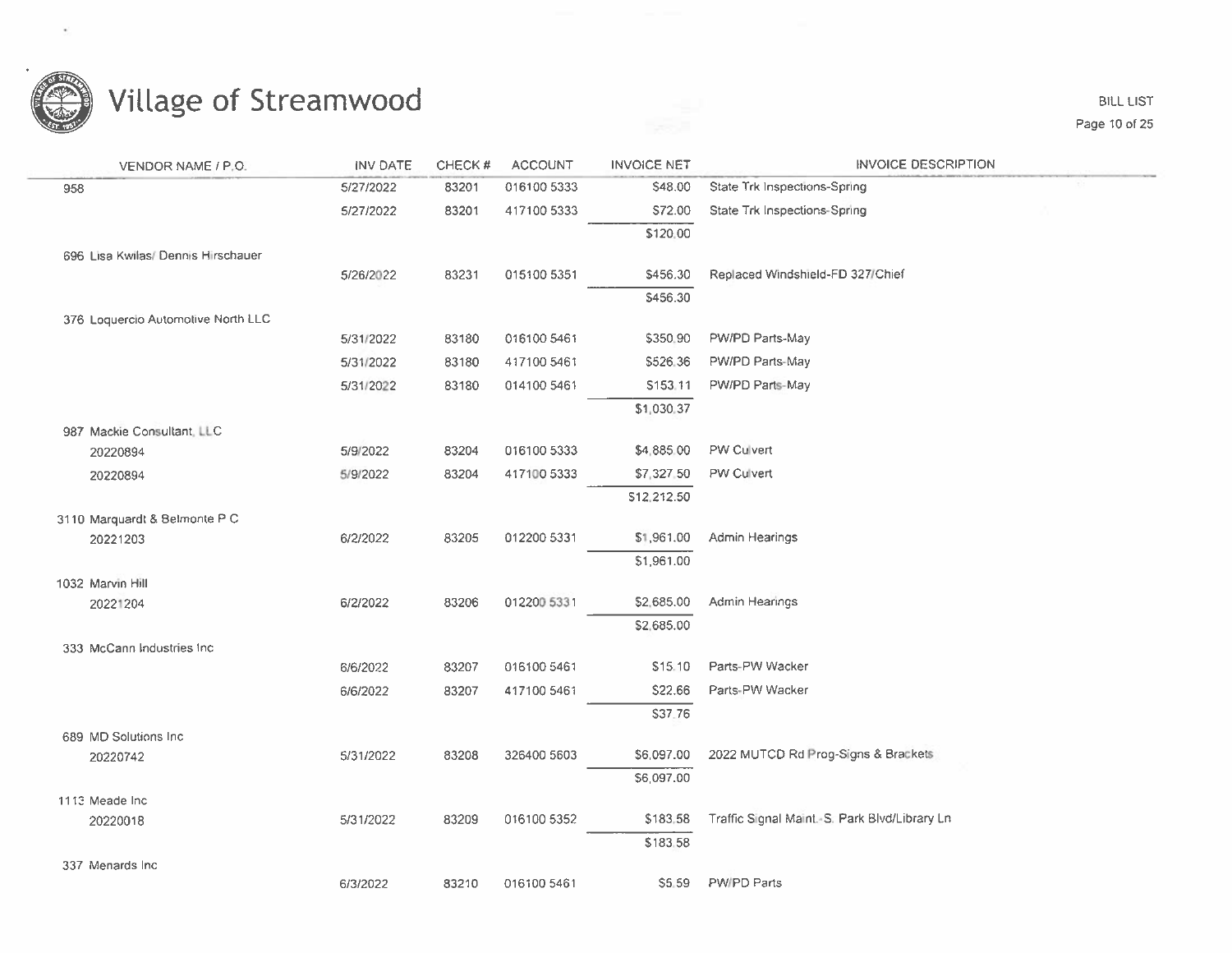

**BILL LIST** Page 10 of 25

| VENDOR NAME / P.O.                 | <b>INV DATE</b> | CHECK# | <b>ACCOUNT</b> | <b>INVOICE NET</b> | <b>INVOICE DESCRIPTION</b>                   |
|------------------------------------|-----------------|--------|----------------|--------------------|----------------------------------------------|
| 958                                | 5/27/2022       | 83201  | 016100 5333    | \$48.00            | State Trk Inspections-Spring                 |
|                                    | 5/27/2022       | 83201  | 417100 5333    | \$72.00            | State Trk Inspections-Spring                 |
|                                    |                 |        |                | \$120.00           |                                              |
| 696 Lisa Kwilas/ Dennis Hirschauer |                 |        |                |                    |                                              |
|                                    | 5/26/2022       | 83231  | 015100 5351    | \$456.30           | Replaced Windshield-FD 327/Chief             |
|                                    |                 |        |                | \$456.30           |                                              |
| 376 Loquercio Automotive North LLC |                 |        |                |                    |                                              |
|                                    | 5/31/2022       | 83180  | 016100 5461    | \$350.90           | PW/PD Parts-May                              |
|                                    | 5/31/2022       | 83180  | 417100 5461    | \$526.36           | PW/PD Parts-May                              |
|                                    | 5/31/2022       | 83180  | 014100 5461    | S153.11            | PW/PD Parts-May                              |
|                                    |                 |        |                | \$1,030.37         |                                              |
| 987 Mackie Consultant, LLC         |                 |        |                |                    |                                              |
| 20220894                           | 5/9/2022        | 83204  | 016100 5333    | \$4,885.00         | PW Culvert                                   |
| 20220894                           | 5/9/2022        | 83204  | 417100 5333    | \$7,327.50         | PW Culvert                                   |
|                                    |                 |        |                | \$12,212.50        |                                              |
| 3110 Marquardt & Belmonte P C      |                 |        |                |                    |                                              |
| 20221203                           | 6/2/2022        | 83205  | 012200 5331    | \$1,961.00         | Admin Hearings                               |
|                                    |                 |        |                | \$1,961.00         |                                              |
| 1032 Marvin Hill                   |                 |        |                |                    |                                              |
| 20221204                           | 6/2/2022        | 83206  | 012200 5331    | \$2,685.00         | Admin Hearings                               |
|                                    |                 |        |                | \$2,685.00         |                                              |
| 333 McCann Industries Inc.         |                 |        | 016100 5461    | \$15.10            | Parts-PW Wacker                              |
|                                    | 6/6/2022        | 83207  |                |                    |                                              |
|                                    | 6/6/2022        | 83207  | 417100 5461    | \$22.66            | Parts-PW Wacker                              |
|                                    |                 |        |                | \$37.76            |                                              |
| 689 MD Solutions Inc.              | 5/31/2022       | 83208  | 326400 5603    | \$6,097.00         | 2022 MUTCD Rd Prog-Signs & Brackets          |
| 20220742                           |                 |        |                | \$6,097.00         |                                              |
|                                    |                 |        |                |                    |                                              |
| 1113 Meade Inc.<br>20220018        | 5/31/2022       | 83209  | 016100 5352    | \$183,58           | Traffic Signal Maint S. Park Blvd/Library Ln |
|                                    |                 |        |                | \$183.58           |                                              |
| 337 Menards Inc.                   |                 |        |                |                    |                                              |
|                                    | 6/3/2022        | 83210  | 016100 5461    | \$5.59             | PW/PD Parts                                  |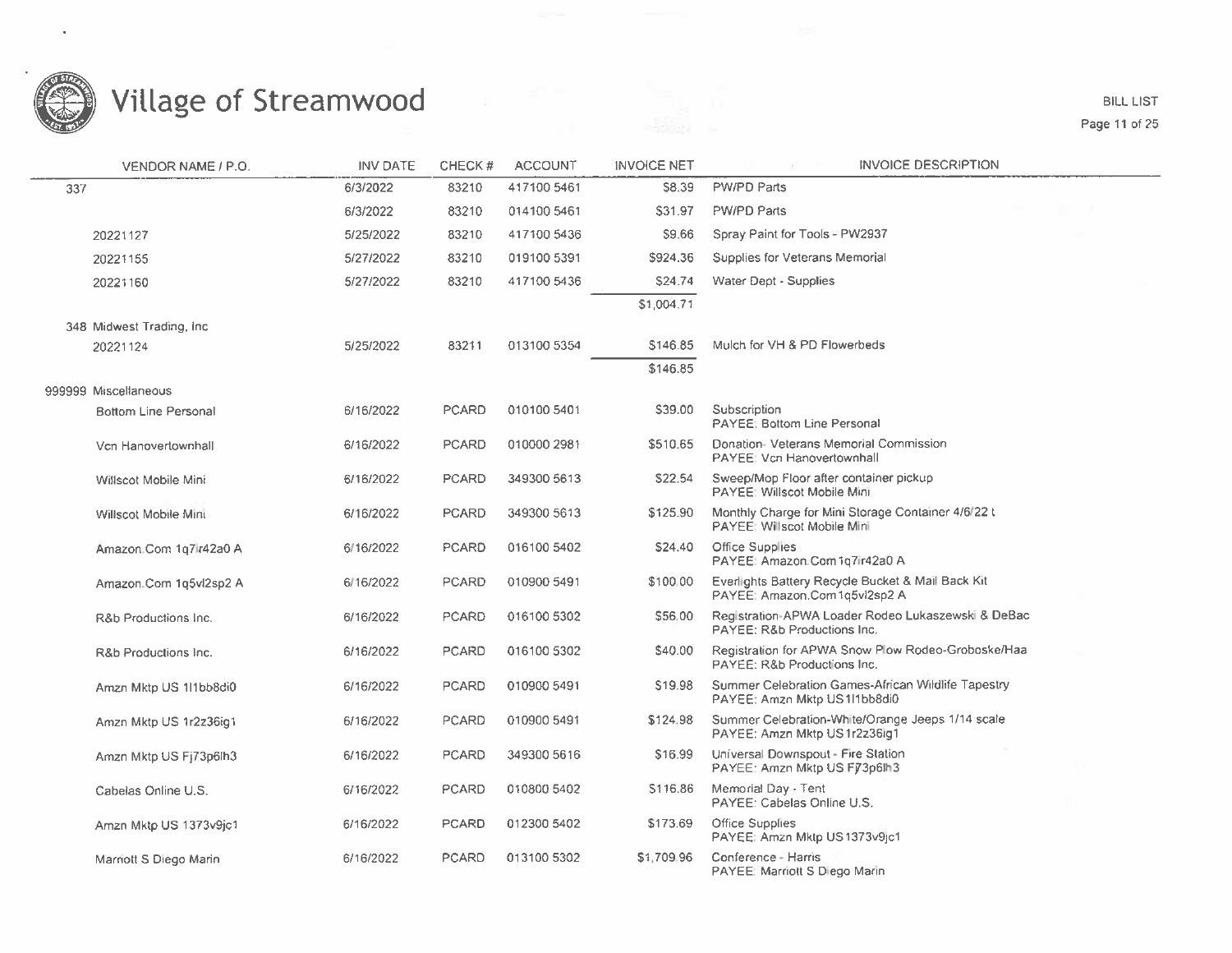

#### Page <sup>11</sup> of 25

| VENDOR NAME / P.O.                 | <b>INV DATE</b> | CHECK#       | <b>ACCOUNT</b> | <b>INVOICE NET</b> | <b>INVOICE DESCRIPTION</b>                                                          |  |
|------------------------------------|-----------------|--------------|----------------|--------------------|-------------------------------------------------------------------------------------|--|
| 337                                | 6/3/2022        | 83210        | 417100 5461    | S8.39              | <b>PW/PD Parts</b>                                                                  |  |
|                                    | 6/3/2022        | 83210        | 014100 5461    | \$31.97            | PW/PD Parts                                                                         |  |
| 20221127                           | 5/25/2022       | 83210        | 417100 5436    | \$9.66             | Spray Paint for Tools - PW2937                                                      |  |
| 20221155                           | 5/27/2022       | 83210        | 019100 5391    | \$924.36           | Supplies for Veterans Memorial                                                      |  |
| 20221160                           | 5/27/2022       | 83210        | 417100 5436    | <b>\$24.74</b>     | Water Dept - Supplies                                                               |  |
|                                    |                 |              |                | \$1,004.71         |                                                                                     |  |
| 348 Midwest Trading, Inc.          |                 |              |                |                    |                                                                                     |  |
| 20221124                           | 5/25/2022       | 83211        | 013100 5354    | \$146.85           | Mulch for VH & PD Flowerbeds                                                        |  |
|                                    |                 |              |                | \$146.85           |                                                                                     |  |
| 999999 Miscellaneous               |                 |              |                |                    |                                                                                     |  |
| <b>Bottom Line Personal</b>        | 6/16/2022       | PCARD        | 010100 5401    | \$39.00            | Subscription<br>PAYEE: Bottom Line Personal                                         |  |
| Vcn Hanovertownhall                | 6/16/2022       | <b>PCARD</b> | 010000 2981    | \$510.65           | Donation-Veterans Memorial Commission<br>PAYEE: Vcn Hanovertownhall                 |  |
| Willscot Mobile Mini               | 6/16/2022       | PCARD        | 349300 5613    | \$22.54            | Sweep/Mop Floor after container pickup<br>PAYEE: Willscot Mobile Mini               |  |
| Willscot Mobile Mini               | 6/16/2022       | <b>PCARD</b> | 349300 5613    | \$125.90           | Monthly Charge for Mini Storage Container 4/6/22 t<br>PAYEE: Willscot Mobile Mini   |  |
| Amazon Com 1q7ir42a0 A             | 6/16/2022       | PCARD        | 016100 5402    | \$24.40            | Office Supplies<br>PAYEE: Amazon.Com 1q7ir42a0 A                                    |  |
| Amazon <sub>-Com</sub> 1q5vl2sp2 A | 6/16/2022       | <b>PCARD</b> | 010900 5491    | \$100.00           | Everlights Battery Recycle Bucket & Mail Back Kit<br>PAYEE: Amazon.Com1q5vl2sp2 A   |  |
| R&b Productions Inc.               | 6/16/2022       | <b>PCARD</b> | 016100 5302    | \$56.00            | Registration-APWA Loader Rodeo Lukaszewski & DeBac<br>PAYEE: R&b Productions Inc.   |  |
| R&b Productions Inc.               | 6/16/2022       | <b>PCARD</b> | 016100 5302    | \$40.00            | Registration for APWA Snow Plow Rodeo-Groboske/Haa<br>PAYEE: R&b Productions Inc.   |  |
| Amzn Mktp US 1l1bb8di0             | 6/16/2022       | <b>PCARD</b> | 010900 5491    | S <sub>19.98</sub> | Summer Celebration Games-African Wildlife Tapestry<br>PAYEE: Amzn Mktp US 111bb8di0 |  |
| Amzn Mktp US 1r2z36ig1             | 6/16/2022       | PCARD        | 010900 5491    | \$124.98           | Summer Celebration-White/Orange Jeeps 1/14 scale<br>PAYEE: Amzn Mktp US 1r2z36ig1   |  |
| Amzn Mktp US Fj73p6lh3             | 6/16/2022       | <b>PCARD</b> | 349300 5616    | \$16.99            | Universal Downspout - Fire Station<br>PAYEE: Amzn Mktp US F73p6th3                  |  |
| Cabelas Online U.S.                | 6/16/2022       | PCARD        | 010800 5402    | \$116.86           | Memorial Day - Tent<br>PAYEE: Cabelas Online U.S.                                   |  |
| Amzn Mktp US 1373v9jc1             | 6/16/2022       | <b>PCARD</b> | 012300 5402    | \$173.69           | Office Supplies<br>PAYEE: Amzn Mktp US1373v9jc1                                     |  |
| Marriott S Diego Marin             | 6/16/2022       | <b>PCARD</b> | 013100 5302    | \$1,709.96         | Conference - Harris<br>PAYEE: Marriott S Diego Marin                                |  |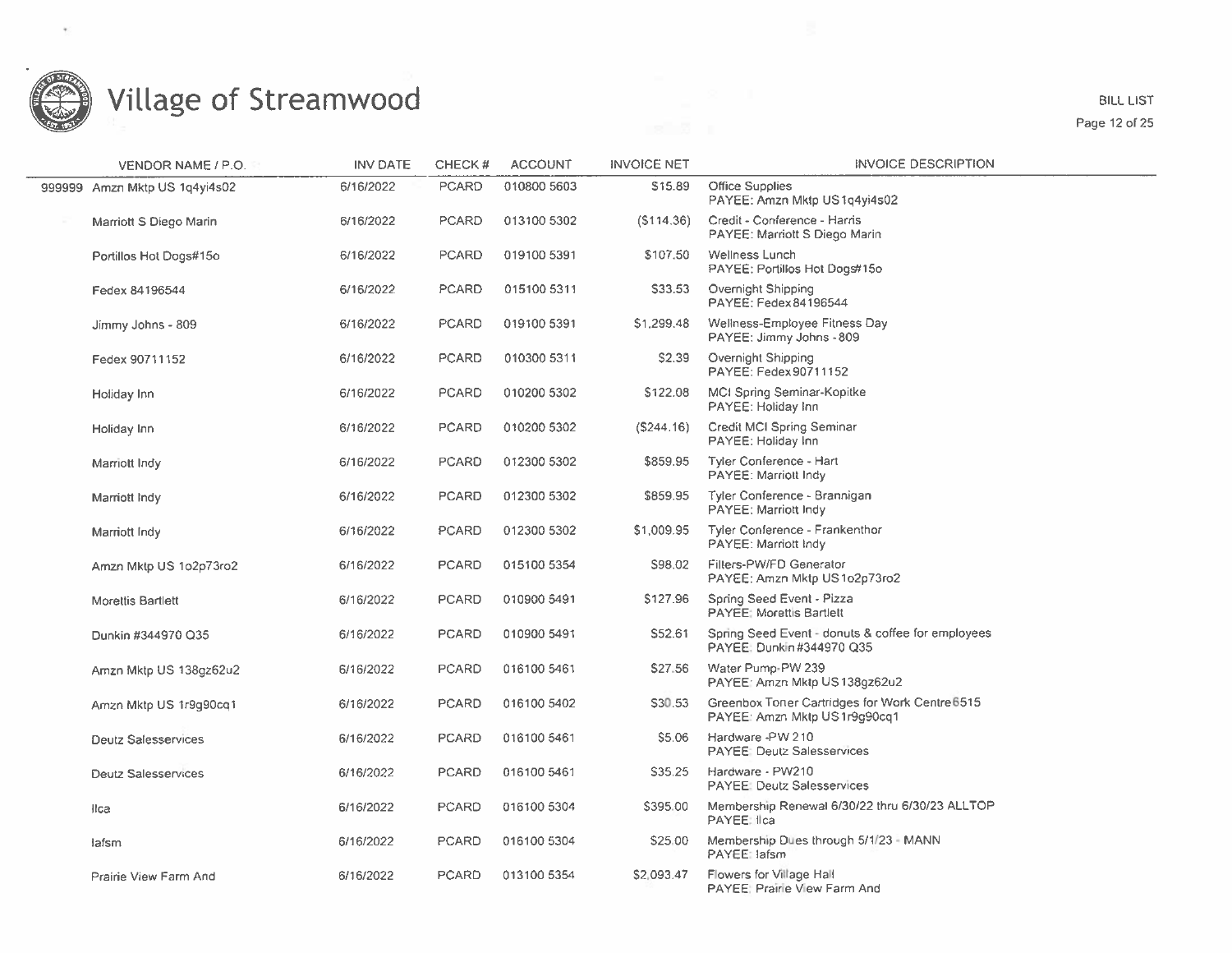

**BILL LIST** Page 12 of 25

| VENDOR NAME / P.O.            | <b>INV DATE</b> | CHECK#       | <b>ACCOUNT</b> | <b>INVOICE NET</b> | <b>INVOICE DESCRIPTION</b>                                                     |
|-------------------------------|-----------------|--------------|----------------|--------------------|--------------------------------------------------------------------------------|
| 999999 Amzn Mktp US 1q4yi4s02 | 6/16/2022       | <b>PCARD</b> | 010800 5603    | S15.89             | <b>Office Supplies</b><br>PAYEE: Amzn Mktp US1q4yi4s02                         |
| Marriott S Diego Marin        | 6/16/2022       | <b>PCARD</b> | 013100 5302    | (S114.36)          | Credit - Conference - Harris<br>PAYEE: Marriott S Diego Marin                  |
| Portillos Hot Dogs#15o        | 6/16/2022       | <b>PCARD</b> | 019100 5391    | \$107.50           | Wellness Lunch<br>PAYEE: Portillos Hot Dogs#15o                                |
| Fedex 84196544                | 6/16/2022       | <b>PCARD</b> | 015100 5311    | S33.53             | Overnight Shipping<br>PAYEE: Fedex 84196544                                    |
| Jimmy Johns - 809             | 6/16/2022       | <b>PCARD</b> | 019100 5391    | \$1,299.48         | Wellness-Employee Fitness Day<br>PAYEE: Jimmy Johns - 809                      |
| Fedex 90711152                | 6/16/2022       | <b>PCARD</b> | 010300 5311    | \$2.39             | Overnight Shipping<br>PAYEE: Fedex 90711152                                    |
| Holiday Inn                   | 6/16/2022       | <b>PCARD</b> | 010200 5302    | \$122.08           | MCI Spring Seminar-Kopitke<br>PAYEE: Holiday Inn                               |
| Holiday Inn                   | 6/16/2022       | <b>PCARD</b> | 010200 5302    | (S244.16)          | Credit MCI Spring Seminar<br>PAYEE: Holiday Inn                                |
| Marriott Indy                 | 6/16/2022       | <b>PCARD</b> | 012300 5302    | \$859.95           | Tyler Conference - Hart<br>PAYEE: Marriott Indy                                |
| Marriott Indy                 | 6/16/2022       | <b>PCARD</b> | 012300 5302    | \$859.95           | Tyler Conference - Brannigan<br>PAYEE: Marriott Indy                           |
| Marriott Indy                 | 6/16/2022       | PCARD        | 012300 5302    | \$1,009.95         | <b>Tyler Conference - Frankenthor</b><br>PAYEE: Marriott Indy                  |
| Amzn Mktp US 1o2p73ro2        | 6/16/2022       | <b>PCARD</b> | 015100 5354    | S98.02             | Filters-PW/FD Generator<br>PAYEE: Amzn Mktp US1o2p73ro2                        |
| Morettis Bartlett             | 6/16/2022       | <b>PCARD</b> | 010900 5491    | \$127.96           | Spring Seed Event - Pizza<br><b>PAYEE: Morettis Bartlett</b>                   |
| Dunkin #344970 Q35            | 6/16/2022       | PCARD        | 010900 5491    | S52.61             | Spring Seed Event - donuts & coffee for employees<br>PAYEE: Dunkin #344970 Q35 |
| Amzn Mktp US 138gz62u2        | 6/16/2022       | <b>PCARD</b> | 016100 5461    | \$27.56            | Water Pump-PW 239<br>PAYEE: Amzn Mktp US138gz62u2                              |
| Amzn Mktp US 1r9q90cq1        | 6/16/2022       | PCARD        | 016100 5402    | S30.53             | Greenbox Toner Cartridges for Work Centre 6515<br>PAYEE: Amzn Mktp US1r9g90cq1 |
| <b>Deutz Salesservices</b>    | 6/16/2022       | <b>PCARD</b> | 016100 5461    | S5.06              | Hardware -PW 210<br><b>PAYEE: Deutz Salesservices</b>                          |
| <b>Deutz Salesservices</b>    | 6/16/2022       | <b>PCARD</b> | 016100 5461    | \$35.25            | Hardware - PW210<br><b>PAYEE: Deutz Salesservices</b>                          |
| Ilca                          | 6/16/2022       | <b>PCARD</b> | 016100 5304    | \$395.00           | Membership Renewal 6/30/22 thru 6/30/23 ALLTOP<br>PAYEE: Ilca                  |
| lafsm                         | 6/16/2022       | PCARD        | 016100 5304    | \$25.00            | Membership Dues through 5/1/23 - MANN<br>PAYEE: lafsm                          |
| Prairie View Farm And         | 6/16/2022       | <b>PCARD</b> | 013100 5354    | S2.093.47          | Flowers for Village Hall<br>PAYEE: Prairie View Farm And                       |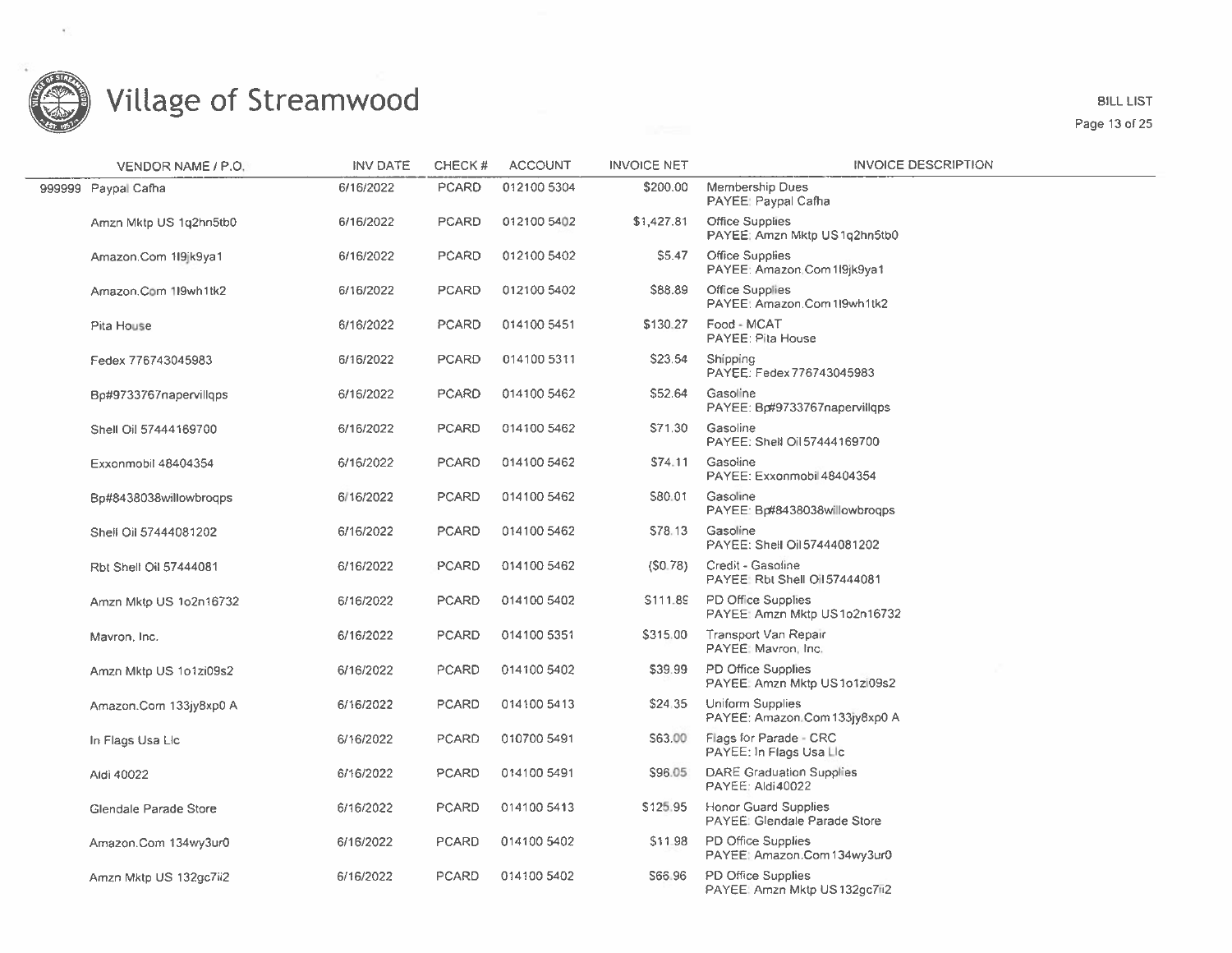

BILL LIST Page 13 of 25

| VENDOR NAME / P.O.     | <b>INV DATE</b> | CHECK#       | <b>ACCOUNT</b> | <b>INVOICE NET</b> | <b>INVOICE DESCRIPTION</b>                                  |
|------------------------|-----------------|--------------|----------------|--------------------|-------------------------------------------------------------|
| 999999 Paypal Cafha    | 6/16/2022       | PCARD        | 012100 5304    | \$200.00           | <b>Membership Dues</b><br>PAYEE: Paypal Cafha               |
| Amzn Mktp US 1g2hn5tb0 | 6/16/2022       | <b>PCARD</b> | 012100 5402    | \$1,427.81         | Office Supplies<br>PAYEE; Amzn Mktp US1q2hn5tb0             |
| Amazon.Com 1l9jk9ya1   | 6/16/2022       | <b>PCARD</b> | 012100 5402    | \$5.47             | Office Supplies<br>PAYEE: Amazon.Com1l9jk9ya1               |
| Amazon.Com 119wh1tk2   | 6/16/2022       | <b>PCARD</b> | 012100 5402    | \$88.89            | Office Supplies<br>PAYEE: Amazon.Com 119wh1tk2              |
| Pita House             | 6/16/2022       | <b>PCARD</b> | 014100 5451    | \$130.27           | Food - MCAT<br>PAYEE: Pita House                            |
| Fedex 776743045983     | 6/16/2022       | <b>PCARD</b> | 014100 5311    | S23.54             | Shipping<br>PAYEE: Fedex 776743045983                       |
| Bp#9733767napervillqps | 6/16/2022       | <b>PCARD</b> | 014100 5462    | S52.64             | Gasoline<br>PAYEE: Bo#9733767napervillgps                   |
| Shell Oil 57444169700  | 6/16/2022       | <b>PCARD</b> | 014100 5462    | S71.30             | Gasoline<br>PAYEE: Shell Oil 57444169700                    |
| Exxonmobil 48404354    | 6/16/2022       | <b>PCARD</b> | 014100 5462    | S74.11             | Gasoline<br>PAYEE: Exxonmobil 48404354                      |
| Bp#8438038willowbrogps | 6/16/2022       | <b>PCARD</b> | 014100 5462    | S80.01             | Gasoline<br>PAYEE: Bp#8438038willowbrogps                   |
| Shell Oil 57444081202  | 6/16/2022       | PCARD        | 014100 5462    | \$78.13            | Gasoline<br>PAYEE: Shell Oil 57444081202                    |
| Rbt Shell Oil 57444081 | 6/16/2022       | PCARD        | 014100 5462    | (S0.78)            | Credit - Gasoline<br>PAYEE: Rbt Shell Oil 57444081          |
| Amzn Mktp US 1o2n16732 | 6/16/2022       | <b>PCARD</b> | 014100 5402    | \$111.89           | PD Office Supplies<br>PAYEE: Amzn Mktp US1o2n16732          |
| Mavron, Inc.           | 6/16/2022       | <b>PCARD</b> | 014100 5351    | \$315.00           | Transport Van Repair<br>PAYEE: Mavron, Inc.                 |
| Amzn Mktp US 1o1zi09s2 | 6/16/2022       | PCARD        | 014100 5402    | \$39.99            | PD Office Supplies<br>PAYEE: Amzn Mktp US1o1zl09s2          |
| Amazon.Com 133jy8xp0 A | 6/16/2022       | <b>PCARD</b> | 014100 5413    | \$24.35            | Uniform Supplies<br>PAYEE: Amazon.Com133jy8xp0 A            |
| In Flags Usa Lic       | 6/16/2022       | <b>PCARD</b> | 010700 5491    | S63.00             | Flags for Parade - CRC<br>PAYEE: In Flags Usa Lic           |
| Aldi 40022             | 6/16/2022       | PCARD        | 014100 5491    | S96.05             | DARE Graduation Supplies<br>PAYEE: Aldi40022                |
| Glendale Parade Store  | 6/16/2022       | <b>PCARD</b> | 014100 5413    | \$125.95           | <b>Honor Guard Supplies</b><br>PAYEE: Glendale Parade Store |
| Amazon.Com 134wy3ur0   | 6/16/2022       | <b>PCARD</b> | 014100 5402    | \$11.98            | PD Office Supplies<br>PAYEE: Amazon.Com134wy3ur0            |
| Amzn Mktp US 132gc7ii2 | 6/16/2022       | PCARD        | 014100 5402    | S66.96             | PD Office Supplies<br>PAYEE: Amzn Mktp US 132qc7fi2         |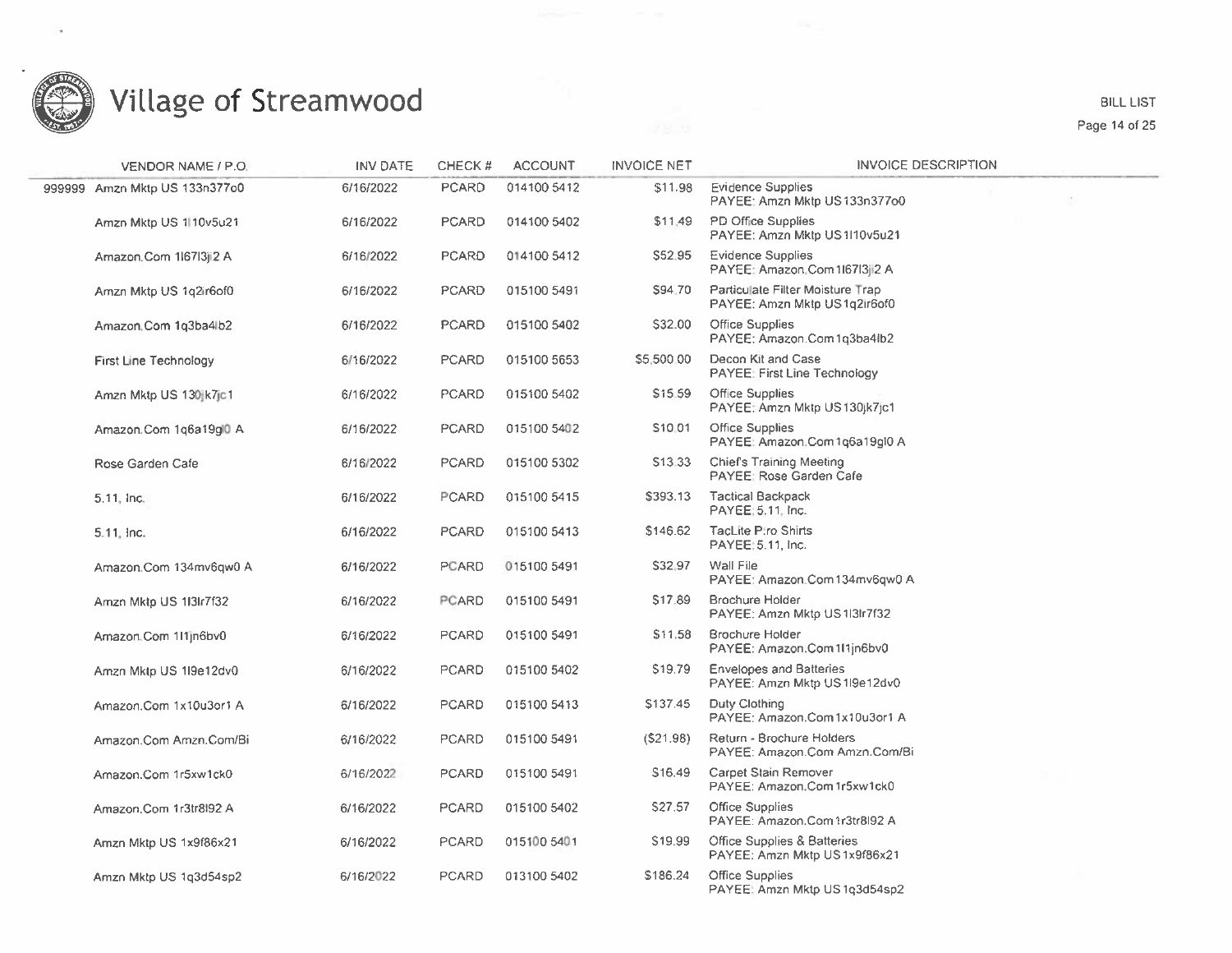

BILL LIST

Page 14 of 25

| <b>VENDOR NAME / P.O.</b>     | <b>INV DATE</b> | CHECK#       | <b>ACCOUNT</b> | <b>INVOICE NET</b>  | <b>INVOICE DESCRIPTION</b>                                       |
|-------------------------------|-----------------|--------------|----------------|---------------------|------------------------------------------------------------------|
| 999999 Amzn Mktp US 133n377o0 | 6/16/2022       | <b>PCARD</b> | 014100 5412    | \$11.98             | <b>Evidence Supplies</b><br>PAYEE: Amzn Mktp US133n377o0         |
| Amzn Mktp US 1110v5u21        | 6/16/2022       | <b>PCARD</b> | 014100 5402    | \$11.49             | PD Office Supplies<br>PAYEE: Amzn Mktp US1I10v5u21               |
| Amazon.Com 1l67l3ji2 A        | 6/16/2022       | <b>PCARD</b> | 014100 5412    | \$52.95             | <b>Evidence Supplies</b><br>PAYEE: Amazon.Com 116713ji2 A        |
| Amzn Mktp US 1q2ir6of0        | 6/16/2022       | PCARD        | 015100 5491    | S94.70              | Particulate Filter Moisture Trap<br>PAYEE: Amzn Mktp US1q2ir6of0 |
| Amazon.Com 1g3ba4lb2          | 6/16/2022       | <b>PCARD</b> | 015100 5402    | S32.00              | Office Supplies<br>PAYEE: Amazon.Com1q3ba4lb2                    |
| First Line Technology         | 6/16/2022       | PCARD        | 015100 5653    | \$5,500.00          | Decon Kit and Case<br><b>PAYEE: First Line Technology</b>        |
| Amzn Mktp US 130jk7jc1        | 6/16/2022       | <b>PCARD</b> | 015100 5402    | \$15.59             | <b>Office Supplies</b><br>PAYEE: Amzn Mktp US130jk7jc1           |
| Amazon.Com 1q6a19ql0 A        | 6/16/2022       | PCARD        | 015100 5402    | S10.01              | <b>Office Supplies</b><br>PAYEE: Amazon.Com 1q6a19ql0 A          |
| Rose Garden Cafe              | 6/16/2022       | <b>PCARD</b> | 015100 5302    | S <sub>13</sub> .33 | <b>Chief's Training Meeting</b><br>PAYEE: Rose Garden Cafe       |
| 5.11, Inc.                    | 6/16/2022       | PCARD        | 015100 5415    | \$393.13            | <b>Tactical Backpack</b><br>PAYEE: 5.11. Inc.                    |
| 5.11, Inc.                    | 6/16/2022       | <b>PCARD</b> | 015100 5413    | \$146.62            | <b>TacLite Ptro Shirts</b><br>PAYEE: 5.11, Inc.                  |
| Amazon.Com 134mv6qw0 A        | 6/16/2022       | PCARD        | 015100 5491    | S32.97              | Wall File<br>PAYEE: Amazon.Com134mv6qw0 A                        |
| Amzn Mktp US 113lr7f32        | 6/16/2022       | PCARD        | 015100 5491    | S17.89              | <b>Brochure Holder</b><br>PAYEE: Amzn Mktp US 113Ir7f32          |
| Amazon Com 111jn6bv0          | 6/16/2022       | PCARD        | 015100 5491    | \$11.58             | <b>Brochure Holder</b><br>PAYEE: Amazon.Com1l1jn6bv0             |
| Amzn Mktp US 1l9e12dv0        | 6/16/2022       | PCARD        | 015100 5402    | S <sub>19.79</sub>  | <b>Envelopes and Batteries</b><br>PAYEE: Amzn Mktp US 1l9e12dv0  |
| Amazon.Com 1x10u3or1 A        | 6/16/2022       | PCARD        | 015100 5413    | \$137.45            | Duty Clothing<br>PAYEE: Amazon.Com 1x10u3or1 A                   |
| Amazon.Com Amzn.Com/Bi        | 6/16/2022       | <b>PCARD</b> | 015100 5491    | (S21.98)            | Return - Brochure Holders<br>PAYEE: Amazon.Com Amzn.Com/Bi       |
| Amazon.Com 1r5xw1ck0          | 6/16/2022       | PCARD        | 015100 5491    | S <sub>16</sub> .49 | Carpet Stain Remover<br>PAYEE: Amazon.Com 1r5xw1ck0              |
| Amazon, Com 1r3tr8l92 A       | 6/16/2022       | <b>PCARD</b> | 015100 5402    | \$27.57             | Office Supplies<br>PAYEE: Amazon.Com 1r3tr8l92 A                 |
| Amzn Mktp US 1x9f86x21        | 6/16/2022       | PCARD        | 015100 5401    | S19.99              | Office Supplies & Batteries<br>PAYEE: Amzn Mktp US1x9f86x21      |
| Amzn Mktp US 1q3d54sp2        | 6/16/2022       | <b>PCARD</b> | 013100 5402    | \$186.24            | Office Supplies<br>PAYEE: Amzn Mktp US1q3d54sp2                  |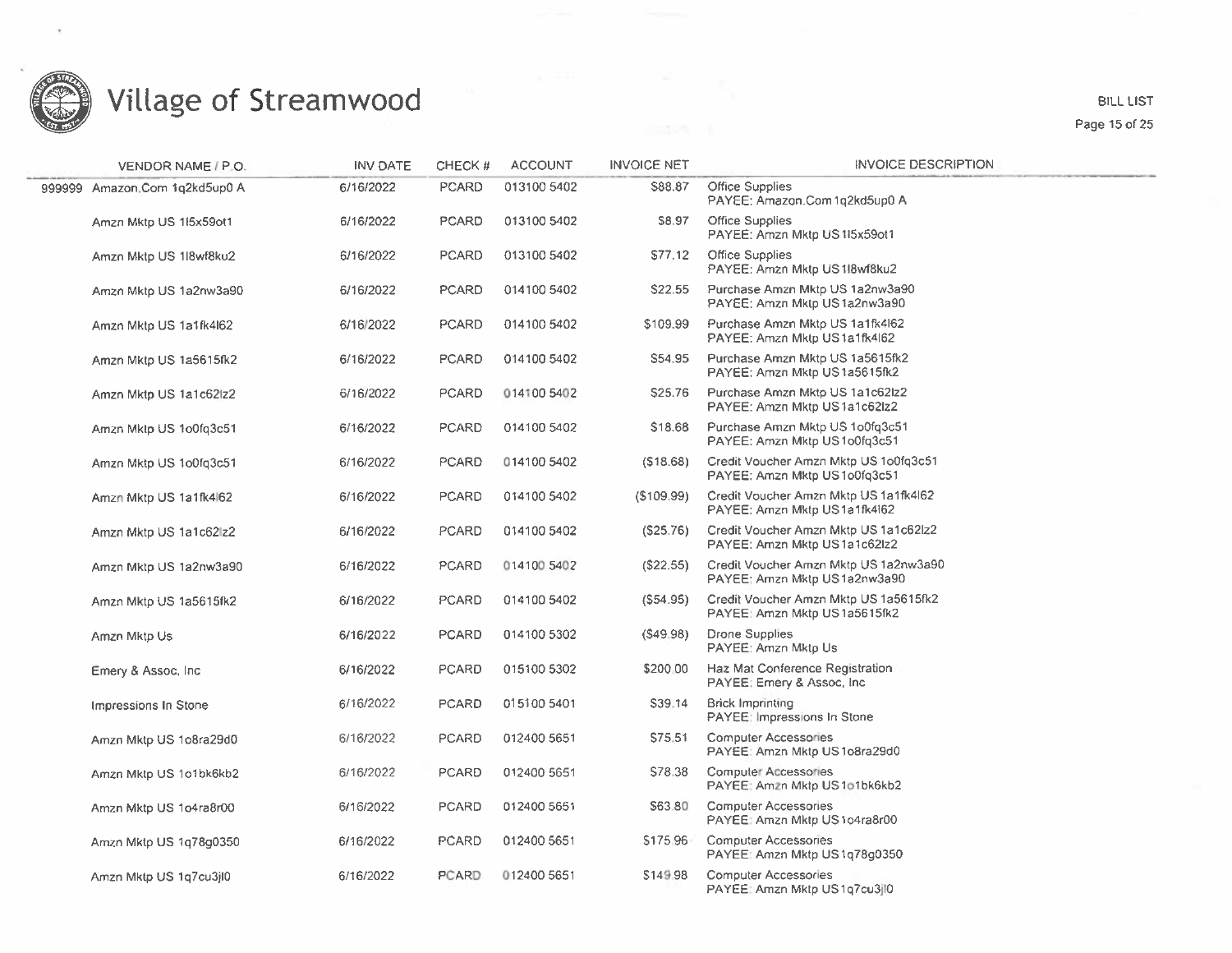

#### BILL LIST Page 15 of 25

| VENDOR NAME / P.O.            | <b>INV DATE</b> | CHECK#       | <b>ACCOUNT</b> | <b>INVOICE NET</b> | <b>INVOICE DESCRIPTION</b>                                            |
|-------------------------------|-----------------|--------------|----------------|--------------------|-----------------------------------------------------------------------|
| 999999 Amazon.Com 1q2kd5up0 A | 6/16/2022       | <b>PCARD</b> | 013100 5402    | \$88.87            | Office Supplies<br>PAYEE: Amazon.Com1q2kd5up0 A                       |
| Amzn Mktp US 15x59ot1         | 6/16/2022       | <b>PCARD</b> | 013100 5402    | \$8.97             | Office Supplies<br>PAYEE: Amzn Mktp US 115x59ot1                      |
| Amzn Mktp US 1l8wf8ku2        | 6/16/2022       | <b>PCARD</b> | 013100 5402    | \$77.12            | Office Supplies<br>PAYEE: Amzn Mktp US 118wf8ku2                      |
| Amzn Mktp US 1a2nw3a90        | 6/16/2022       | PCARD        | 014100 5402    | \$22.55            | Purchase Amzn Mktp US 1a2nw3a90<br>PAYEE: Amzn Mktp US 1a2nw3a90      |
| Amzn Mktp US 1a1fk4l62        | 6/16/2022       | <b>PCARD</b> | 014100 5402    | \$109.99           | Purchase Amzn Mktp US 1a1fk4l62<br>PAYEE: Amzn Mktp US1a1fk4l62       |
| Amzn Mktp US 1a5615fk2        | 6/16/2022       | PCARD        | 014100 5402    | S54.95             | Purchase Amzn Mktp US 1a5615fk2<br>PAYEE: Amzn Mktp US1a5615fk2       |
| Amzn Mktp US 1a1c62lz2        | 6/16/2022       | <b>PCARD</b> | 014100 5402    | \$25.76            | Purchase Amzn Mktp US 1a1c62lz2<br>PAYEE: Amzn Mktp US1a1c62lz2       |
| Amzn Mktp US 1o0fq3c51        | 6/16/2022       | <b>PCARD</b> | 014100 5402    | \$18.68            | Purchase Amzn Mktp US 1o0fq3c51<br>PAYEE: Amzn Mktp US 1o0fq3c51      |
| Amzn Mktp US 1o0fq3c51        | 6/16/2022       | <b>PCARD</b> | 014100 5402    | (518.68)           | Credit Voucher Amzn Mktp US 1o0fq3c51<br>PAYEE: Amzn Mktp US1o0fq3c51 |
| Amzn Mktp US 1a1fk4 62        | 6/16/2022       | <b>PCARD</b> | 014100 5402    | (S109.99)          | Credit Voucher Amzn Mktp US 1a1fk4l62<br>PAYEE: Amzn Mktp US1a1fk4162 |
| Amzn Mktp US 1a1c62 z2        | 6/16/2022       | PCARD        | 014100 5402    | (\$25.76)          | Credit Voucher Amzn Mktp US 1a1c62lz2<br>PAYEE: Amzn Mktp US1a1c62lz2 |
| Amzn Mktp US 1a2nw3a90        | 6/16/2022       | PCARD        | 014100 5402    | (\$22.55)          | Credit Voucher Amzn Mktp US 1a2nw3a90<br>PAYEE: Amzn Mktp US1a2nw3a90 |
| Amzn Mktp US 1a5615fk2        | 6/16/2022       | <b>PCARD</b> | 014100 5402    | (S54.95)           | Credit Voucher Amzn Mktp US 1a5615fk2<br>PAYEE: Amzn Mktp US1a5615fk2 |
| Amzn Mktp Us                  | 6/16/2022       | <b>PCARD</b> | 014100 5302    | (S49.98)           | Drone Supplies<br>PAYEE: Amzn Mktp Us                                 |
| Emery & Assoc, Inc.           | 6/16/2022       | <b>PCARD</b> | 015100 5302    | \$200.00           | Haz Mat Conference Registration<br>PAYEE: Emery & Assoc, Inc.         |
| Impressions In Stone          | 6/16/2022       | <b>PCARD</b> | 015100 5401    | \$39.14            | <b>Brick Imprinting</b><br>PAYEE: Impressions In Stone                |
| Amzn Mktp US 1o8ra29d0        | 6/16/2022       | <b>PCARD</b> | 012400 5651    | S75.51             | <b>Computer Accessories</b><br>PAYEE: Amzn Mktp US1o8ra29d0           |
| Amzn Mktp US 1o1bk6kb2        | 6/16/2022       | <b>PCARD</b> | 012400 5651    | \$78.38            | <b>Computer Accessories</b><br>PAYEE: Amzn Mktp US1o1bk6kb2           |
| Amzn Mktp US 1o4ra8r00        | 6/16/2022       | <b>PCARD</b> | 012400 5651    | \$63.80            | <b>Computer Accessories</b><br>PAYEE: Amzn Mktp US1o4ra8r00           |
| Amzn Mktp US 1q78g0350        | 6/16/2022       | <b>PCARD</b> | 012400 5651    | \$175.96           | <b>Computer Accessories</b><br>PAYEE: Amzn Mktp US1q78g0350           |
| Amzn Mktp US 1q7cu3jl0        | 6/16/2022       | <b>PCARD</b> | 012400 5651    | \$149.98           | Computer Accessories<br>PAYEE: Amzn Mktp US1q7cu3jl0                  |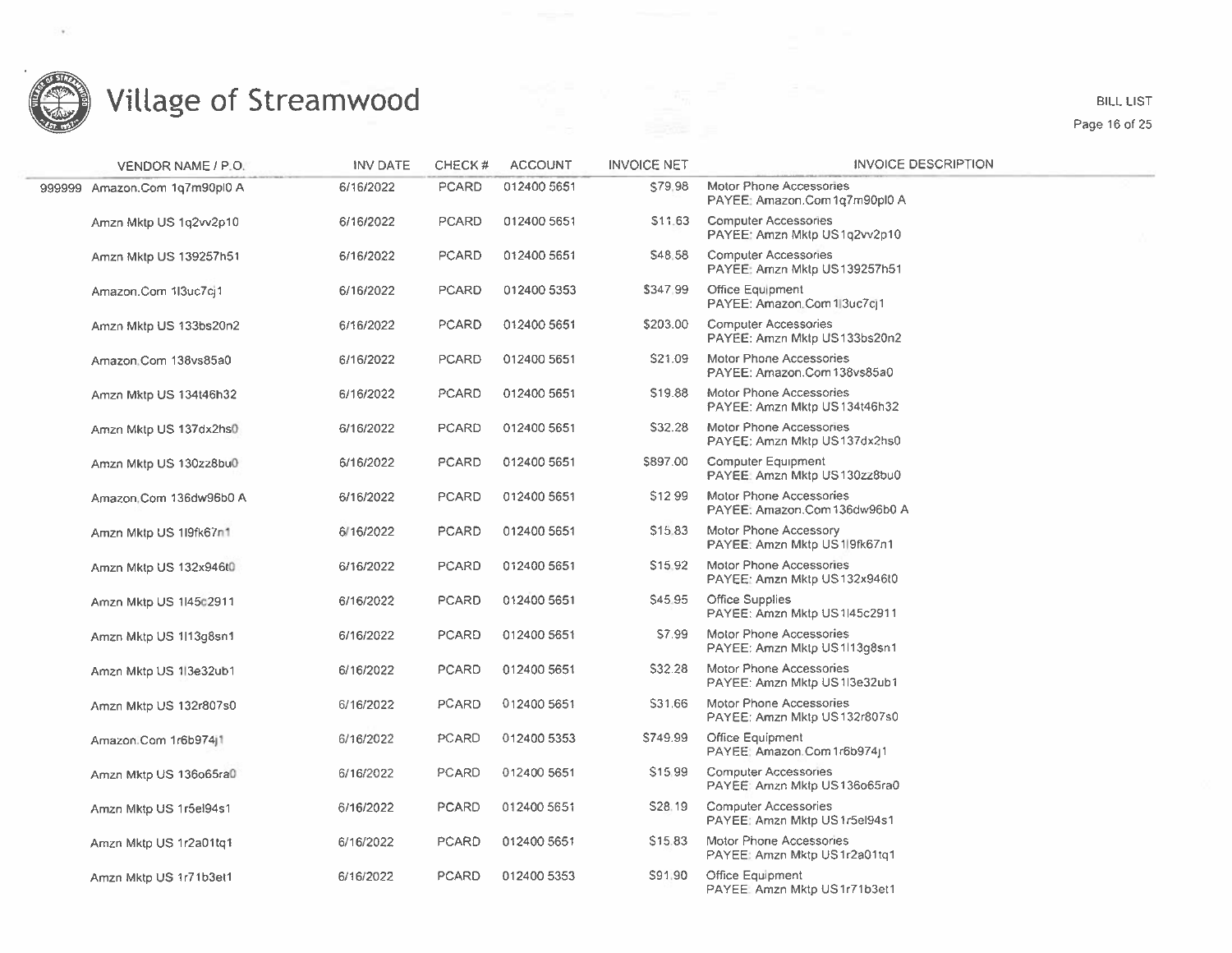

**BILL LIST** Page 16 of 25

| VENDOR NAME / P.O.            | <b>INV DATE</b> | CHECK#       | <b>ACCOUNT</b> | <b>INVOICE NET</b>  | INVOICE DESCRIPTION                                            |
|-------------------------------|-----------------|--------------|----------------|---------------------|----------------------------------------------------------------|
| 999999 Amazon.Com 1q7m90pl0 A | 6/16/2022       | PCARD        | 012400 5651    | \$79.98             | Motor Phone Accessories<br>PAYEE: Amazon.Com 1g7m90pl0 A       |
| Amzn Mktp US 1q2vv2p10        | 6/16/2022       | <b>PCARD</b> | 012400 5651    | \$11.63             | <b>Computer Accessories</b><br>PAYEE: Amzn Mktp US1q2vv2p10    |
| Amzn Mktp US 139257h51        | 6/16/2022       | <b>PCARD</b> | 012400 5651    | S48.58              | <b>Computer Accessories</b><br>PAYEE: Amzn Mktp US139257h51    |
| Amazon.Com 1l3uc7ci1          | 6/16/2022       | <b>PCARD</b> | 012400 5353    | \$347.99            | Office Equipment<br>PAYEE: Amazon.Com 1 3uc7cj1                |
| Amzn Mktp US 133bs20n2        | 6/16/2022       | <b>PCARD</b> | 012400 5651    | \$203.00            | <b>Computer Accessories</b><br>PAYEE: Amzn Mktp US133bs20n2    |
| Amazon.Com 138vs85a0          | 6/16/2022       | <b>PCARD</b> | 012400 5651    | S21.09              | Motor Phone Accessories<br>PAYEE: Amazon.Com 138vs85a0         |
| Amzn Mktp US 134t46h32        | 6/16/2022       | PCARD        | 012400 5651    | \$19.88             | Motor Phone Accessories<br>PAYEE: Amzn Mktp US134t46h32        |
| Amzn Mktp US 137dx2hs0        | 6/16/2022       | PCARD        | 012400 5651    | \$32.28             | Motor Phone Accessories<br>PAYEE: Amzn Mktp US137dx2hs0        |
| Amzn Mktp US 130zz8bu0        | 6/16/2022       | <b>PCARD</b> | 012400 5651    | \$897.00            | <b>Computer Equipment</b><br>PAYEE: Amzn Mktp US130zz8bu0      |
| Amazon Com 136dw96b0 A        | 6/16/2022       | <b>PCARD</b> | 012400 5651    | \$1299              | Motor Phone Accessories<br>PAYEE: Amazon.Com 136dw96b0 A       |
| Amzn Mktp US 119fk67n1        | 6/16/2022       | PCARD        | 012400 5651    | S <sub>15.83</sub>  | <b>Motor Phone Accessory</b><br>PAYEE: Amzn Mktp US 19fk67n1   |
| Amzn Mktp US 132x946t0        | 6/16/2022       | <b>PCARD</b> | 012400 5651    | S <sub>15</sub> 92  | <b>Motor Phone Accessories</b><br>PAYEE: Amzn Mktp US132x946t0 |
| Amzn Mktp US 1l45c2911        | 6/16/2022       | <b>PCARD</b> | 012400 5651    | S45.95              | Office Supplies<br>PAYEE: Amzn Mktp US 1l45c2911               |
| Amzn Mktp US 1l13g8sn1        | 6/16/2022       | <b>PCARD</b> | 012400 5651    | S7.99               | Motor Phone Accessories<br>PAYEE: Amzn Mktp US1l13g8sn1        |
| Amzn Mktp US 1 3e32ub1        | 6/16/2022       | <b>PCARD</b> | 012400 5651    | S32.28              | Motor Phone Accessories<br>PAYEE: Amzn Mktp US 113e32ub1       |
| Amzn Mktp US 132r807s0        | 6/16/2022       | <b>PCARD</b> | 012400 5651    | S31.66              | Motor Phone Accessories<br>PAYEE: Amzn Mktp US132r807s0        |
| Amazon.Com 1r6b974j1          | 6/16/2022       | PCARD        | 012400 5353    | \$749.99            | <b>Office Equipment</b><br>PAYEE: Amazon.Com 1r6b974j1         |
| Amzn Mktp US 136o65ra0        | 6/16/2022       | PCARD        | 012400 5651    | S <sub>15</sub> .99 | <b>Computer Accessories</b><br>PAYEE: Amzn Mktp US136o65ra0    |
| Amzn Mktp US 1r5el94s1        | 6/16/2022       | PCARD        | 012400 5651    | \$28.19             | <b>Computer Accessories</b><br>PAYEE: Amzn Mktp US 1r5el94s1   |
| Amzn Mktp US 1r2a01tq1        | 6/16/2022       | <b>PCARD</b> | 012400 5651    | \$15.83             | Motor Phone Accessories<br>PAYEE: Amzn Mktp US1r2a01tq1        |
| Amzn Mktp US 1r71b3et1        | 6/16/2022       | PCARD        | 012400 5353    | S91.90              | Office Equipment<br>PAYEE: Amzn Mktp US1r71b3et1               |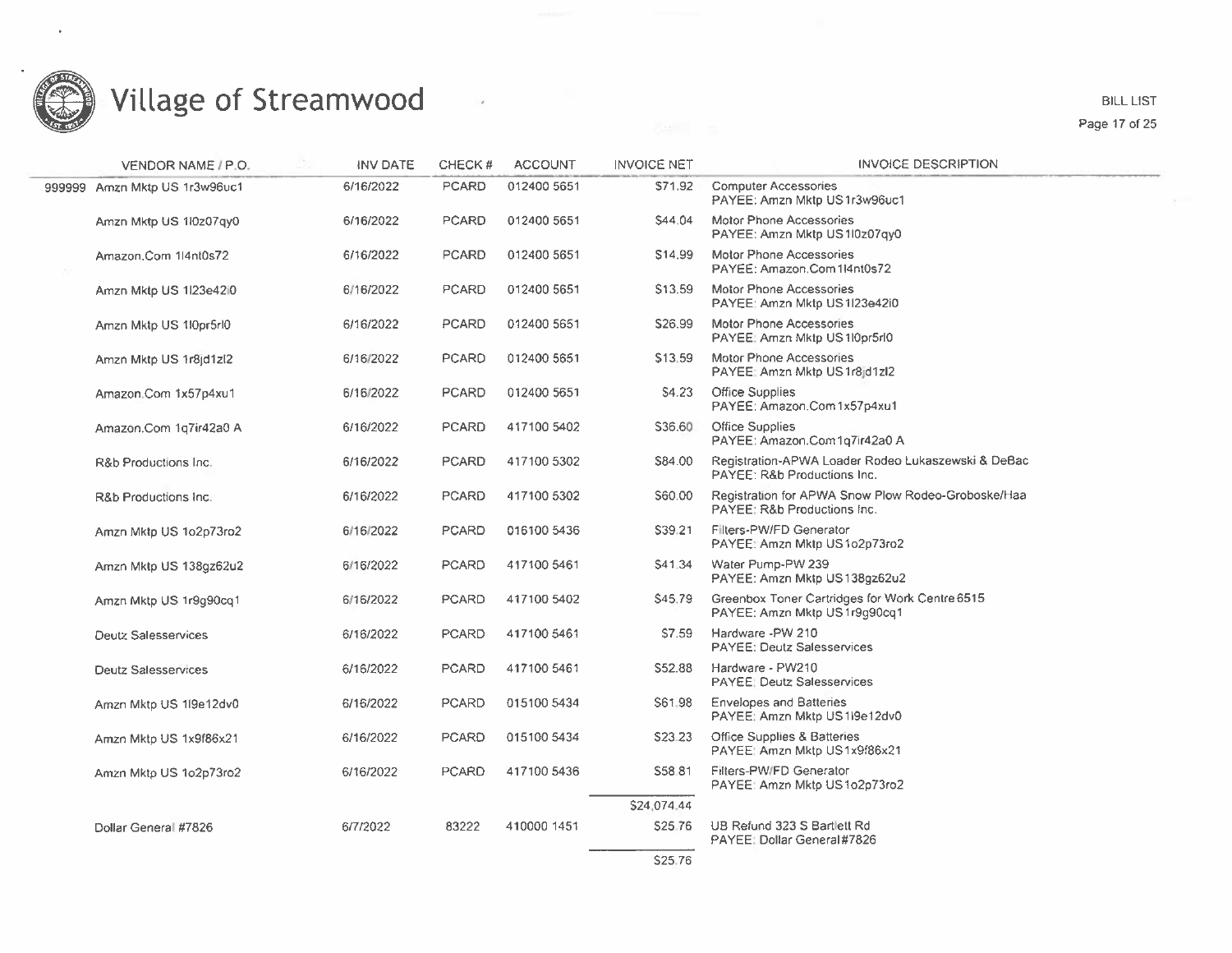

 $\ddot{\phantom{a}}$ 

#### Village of Streamwood

 $\sim$  19

BILL LIST Page 17 of 25

| VENDOR NAME / P.O.            | INV DATE  | CHECK#       | <b>ACCOUNT</b> | <b>INVOICE NET</b> | <b>INVOICE DESCRIPTION</b>                                                        |
|-------------------------------|-----------|--------------|----------------|--------------------|-----------------------------------------------------------------------------------|
| 999999 Amzn Mktp US 1r3w96uc1 | 6/16/2022 | <b>PCARD</b> | 012400 5651    | S71.92             | <b>Computer Accessories</b><br>PAYEE: Amzn Mktp US1r3w96uc1                       |
| Amzn Mktp US 1l0z07qy0        | 6/16/2022 | <b>PCARD</b> | 012400 5651    | S44.04             | Motor Phone Accessories<br>PAYEE: Amzn Mktp US110z07qy0                           |
| Amazon.Com 1l4nt0s72          | 6/16/2022 | <b>PCARD</b> | 012400 5651    | S14.99             | <b>Motor Phone Accessories</b><br>PAYEE: Amazon.Com1l4nt0s72                      |
| Amzn Mktp US 1/23e42/0        | 6/16/2022 | <b>PCARD</b> | 012400 5651    | S <sub>13.59</sub> | Motor Phone Accessories<br>PAYEE: Amzn Mktp US 1l23e42i0                          |
| Amzn Mktp US 110pr5rl0        | 6/16/2022 | PCARD        | 012400 5651    | S26.99             | Motor Phone Accessories<br>PAYEE: Amzn Mktp US 110pr5r10                          |
| Amzn Mktp US 1r8id1zl2        | 6/16/2022 | <b>PCARD</b> | 012400 5651    | \$13.59            | Motor Phone Accessories<br>PAYEE: Amzn Mktp US 1r8jd1zl2                          |
| Amazon.Com 1x57p4xu1          | 6/16/2022 | <b>PCARD</b> | 012400 5651    | S4.23              | Office Supplies<br>PAYEE: Amazon.Com1x57p4xu1                                     |
| Amazon.Com 1q7ir42a0 A        | 6/16/2022 | <b>PCARD</b> | 417100 5402    | \$36.60            | Office Supplies<br>PAYEE: Amazon.Com1q7ir42a0 A                                   |
| R&b Productions Inc.          | 6/16/2022 | <b>PCARD</b> | 417100 5302    | S84.00             | Registration-APWA Loader Rodeo Lukaszewski & DeBac<br>PAYEE: R&b Productions Inc. |
| R&b Productions Inc.          | 6/16/2022 | <b>PCARD</b> | 417100 5302    | S60.00             | Registration for APWA Snow Plow Rodeo-Groboske/Haa<br>PAYEE: R&b Productions Inc. |
| Amzn Mktp US 1o2p73ro2        | 6/16/2022 | <b>PCARD</b> | 016100 5436    | \$39.21            | Filters-PW/FD Generator<br>PAYEE: Amzn Mktp US1o2p73ro2                           |
| Amzn Mktp US 138gz62u2        | 6/16/2022 | <b>PCARD</b> | 417100 5461    | S41.34             | Water Pump-PW 239<br>PAYEE: Amzn Mktp US138qz62u2                                 |
| Amzn Mktp US 1r9g90cq1        | 6/16/2022 | <b>PCARD</b> | 417100 5402    | \$45.79            | Greenbox Toner Cartridges for Work Centre 6515<br>PAYEE: Amzn Mktp US 1r9g90cq1   |
| <b>Deutz Salesservices</b>    | 6/16/2022 | <b>PCARD</b> | 417100 5461    | \$7.59             | Hardware -PW 210<br><b>PAYEE: Deutz Salesservices</b>                             |
| <b>Deutz Salesservices</b>    | 6/16/2022 | <b>PCARD</b> | 417100 5461    | S52.88             | Hardware - PW210<br><b>PAYEE: Deutz Salesservices</b>                             |
| Amzn Mktp US 1l9e12dv0        | 6/16/2022 | <b>PCARD</b> | 015100 5434    | S61.98             | <b>Envelopes and Batteries</b><br>PAYEE: Amzn Mktp US 1i9e12dv0                   |
| Amzn Mktp US 1x9f86x21        | 6/16/2022 | <b>PCARD</b> | 015100 5434    | S23-23             | Office Supplies & Batteries<br>PAYEE: Amzn Mktp US 1x9f86x21                      |
| Amzn Mktp US 1o2p73ro2        | 6/16/2022 | <b>PCARD</b> | 417100 5436    | S58.81             | Filters-PW/FD Generator<br>PAYEE: Amzn Mktp US 1o2p73ro2                          |
|                               |           |              |                | \$24,074.44        |                                                                                   |
| Dollar General #7826          | 6/7/2022  | 83222        | 410000 1451    | \$25.76            | UB Refund 323 S Bartlett Rd<br>PAYEE: Dollar General#7826                         |
|                               |           |              |                | S25.76             |                                                                                   |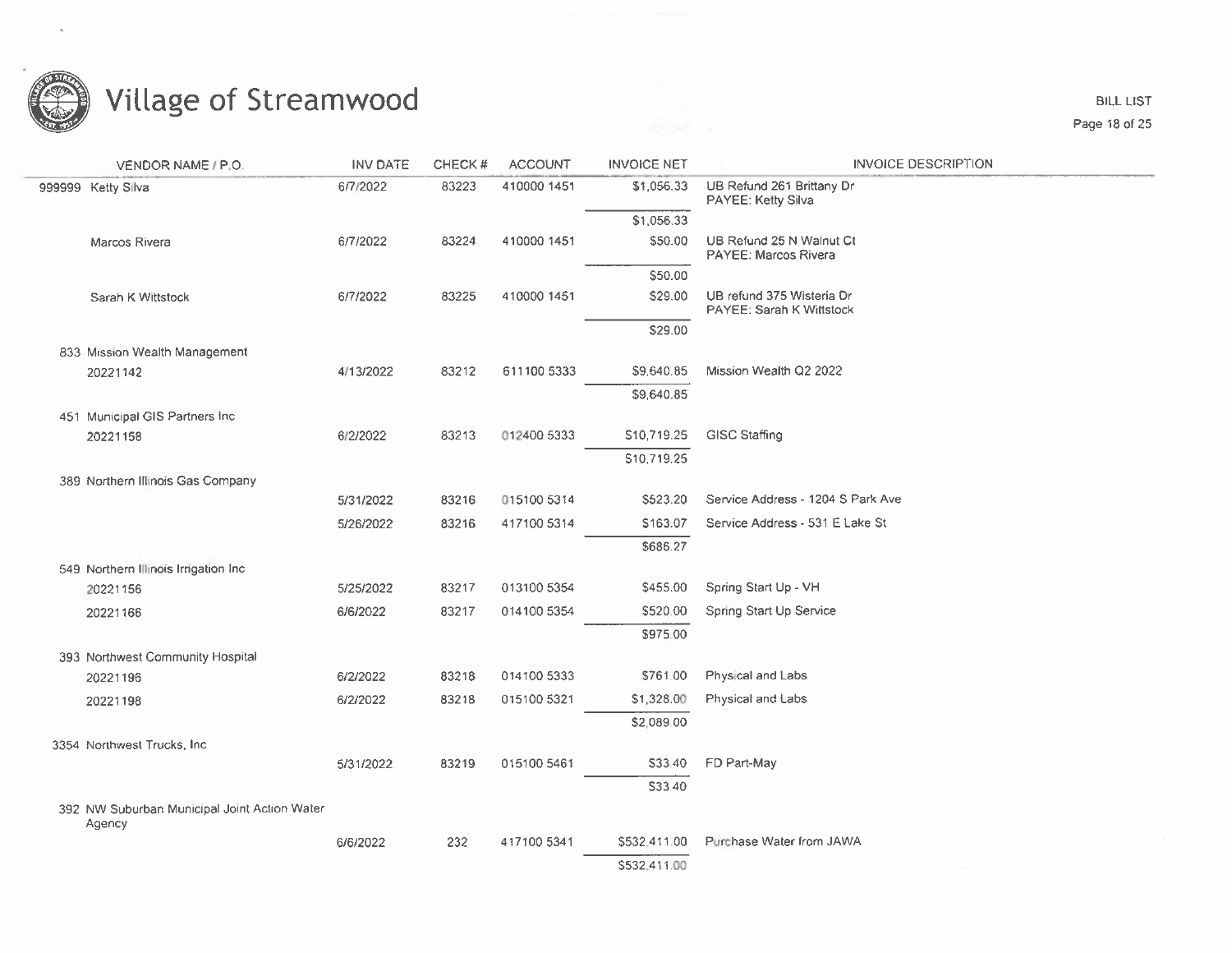

**BILL LIST** Page 18 of 25

| VENDOR NAME / P.O.                                     | <b>INV DATE</b> | CHECK# | <b>ACCOUNT</b> | <b>INVOICE NET</b> | <b>INVOICE DESCRIPTION</b>                              |
|--------------------------------------------------------|-----------------|--------|----------------|--------------------|---------------------------------------------------------|
| 999999 Ketty Silva                                     | 6/7/2022        | 83223  | 410000 1451    | \$1,056.33         | UB Refund 261 Brittany Dr<br>PAYEE: Ketty Silva         |
|                                                        |                 |        |                | \$1,056.33         |                                                         |
| Marcos Rivera                                          | 6/7/2022        | 83224  | 410000 1451    | \$50.00            | UB Refund 25 N Walnut Ct<br><b>PAYEE: Marcos Rivera</b> |
|                                                        |                 |        |                | \$50.00            |                                                         |
| Sarah K Wittstock                                      | 6/7/2022        | 83225  | 410000 1451    | \$29.00            | UB refund 375 Wisteria Dr<br>PAYEE: Sarah K Wittstock   |
|                                                        |                 |        |                | \$29.00            |                                                         |
| 833 Mission Wealth Management                          |                 |        |                |                    |                                                         |
| 20221142                                               | 4/13/2022       | 83212  | 611100 5333    | \$9,640.85         | Mission Wealth Q2 2022                                  |
|                                                        |                 |        |                | \$9,640.85         |                                                         |
| 451 Municipal GIS Partners Inc.                        |                 |        |                |                    |                                                         |
| 20221158                                               | 6/2/2022        | 83213  | 012400 5333    | \$10,719.25        | <b>GISC Staffing</b>                                    |
|                                                        |                 |        |                | \$10,719.25        |                                                         |
| 389 Northern Illinois Gas Company                      |                 |        |                |                    |                                                         |
|                                                        | 5/31/2022       | 83216  | 015100 5314    | \$523.20           | Service Address - 1204 S Park Ave                       |
|                                                        | 5/26/2022       | 83216  | 417100 5314    | \$163.07           | Service Address - 531 E Lake St                         |
|                                                        |                 |        |                | \$686.27           |                                                         |
| 549 Northern Illinois Irrigation Inc.                  |                 |        |                |                    |                                                         |
| 20221156                                               | 5/25/2022       | 83217  | 013100 5354    | \$455.00           | Spring Start Up - VH                                    |
| 20221166                                               | 6/6/2022        | 83217  | 014100 5354    | \$520.00           | Spring Start Up Service                                 |
|                                                        |                 |        |                | \$975.00           |                                                         |
| 393 Northwest Community Hospital                       |                 |        |                |                    |                                                         |
| 20221196                                               | 6/2/2022        | 83218  | 014100 5333    | \$761.00           | Physical and Labs                                       |
| 20221198                                               | 6/2/2022        | 83218  | 015100 5321    | \$1,328.00         | Physical and Labs                                       |
|                                                        |                 |        |                | \$2,089.00         |                                                         |
| 3354 Northwest Trucks, Inc.                            |                 |        |                |                    |                                                         |
|                                                        | 5/31/2022       | 83219  | 015100 5461    | S33.40             | FD Part-May                                             |
|                                                        |                 |        |                | \$33.40            |                                                         |
| 392 NW Suburban Municipal Joint Action Water<br>Agency |                 |        |                |                    |                                                         |
|                                                        | 6/6/2022        | 232    | 417100 5341    | \$532,411.00       | Purchase Water from JAWA                                |
|                                                        |                 |        |                | \$532,411.00       |                                                         |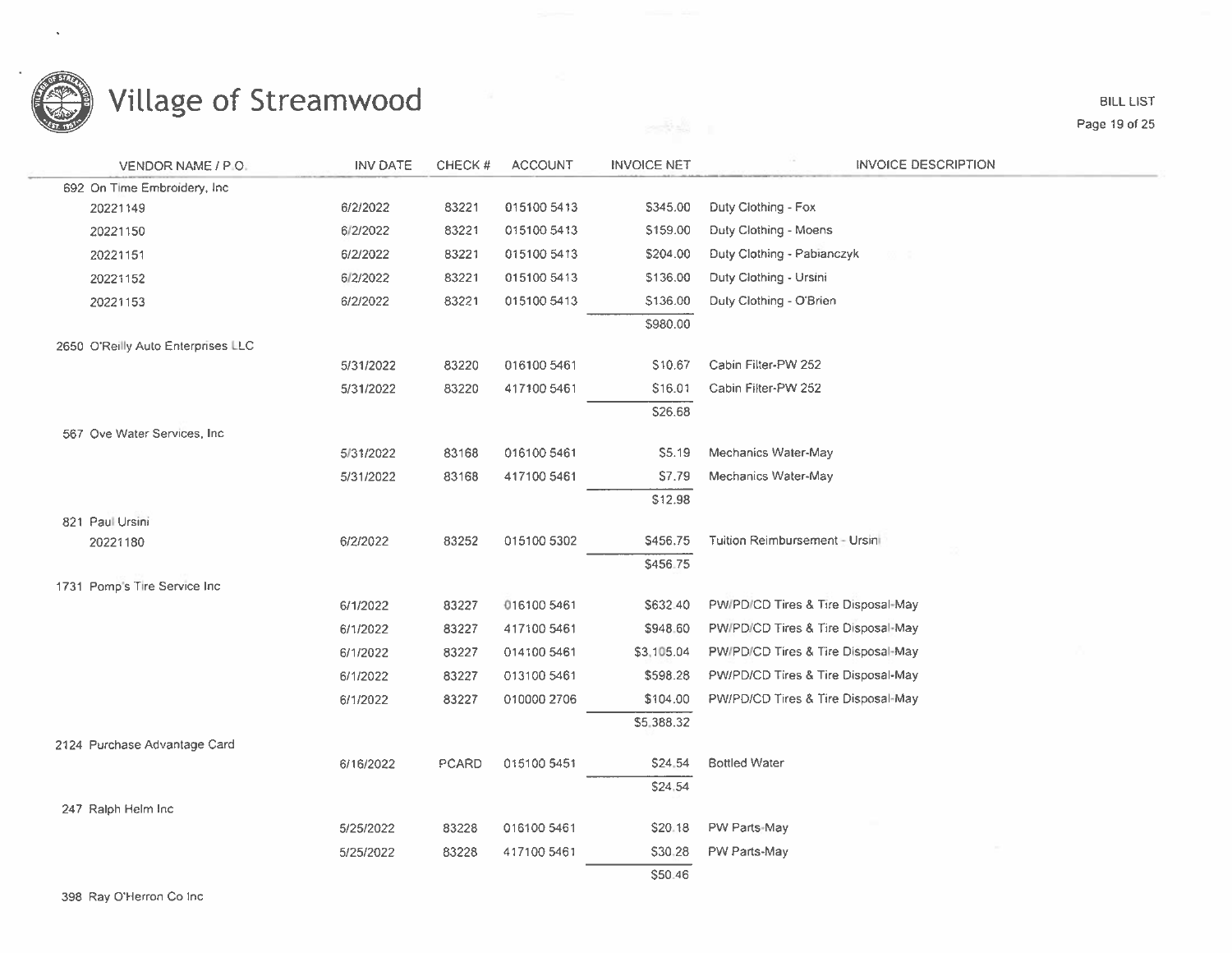

**BILL LIST** Page 19 of 25

| VENDOR NAME / P.O.                 | <b>INV DATE</b> | CHECK# | <b>ACCOUNT</b> | <b>INVOICE NET</b> | <b>INVOICE DESCRIPTION</b>         |
|------------------------------------|-----------------|--------|----------------|--------------------|------------------------------------|
| 692 On Time Embroidery, Inc.       |                 |        |                |                    |                                    |
| 20221149                           | 6/2/2022        | 83221  | 015100 5413    | \$345.00           | Duty Clothing - Fox                |
| 20221150                           | 6/2/2022        | 83221  | 015100 5413    | \$159.00           | Duty Clothing - Moens              |
| 20221151                           | 6/2/2022        | 83221  | 015100 5413    | \$204.00           | Duty Clothing - Pabianczyk         |
| 20221152                           | 6/2/2022        | 83221  | 015100 5413    | \$136.00           | Duty Clothing - Ursini             |
| 20221153                           | 6/2/2022        | 83221  | 015100 5413    | \$136.00           | Duty Clothing - O'Brien            |
|                                    |                 |        |                | \$980.00           |                                    |
| 2650 O'Reilly Auto Enterprises LLC |                 |        |                |                    |                                    |
|                                    | 5/31/2022       | 83220  | 016100 5461    | \$10.67            | Cabin Filter-PW 252                |
|                                    | 5/31/2022       | 83220  | 417100 5461    | S16.01             | Cabin Filter-PW 252                |
|                                    |                 |        |                | \$26.68            |                                    |
| 567 Ove Water Services, Inc.       |                 |        |                |                    |                                    |
|                                    | 5/31/2022       | 83168  | 016100 5461    | S5.19              | Mechanics Water-May                |
|                                    | 5/31/2022       | 83168  | 417100 5461    | \$7.79             | Mechanics Water-May                |
|                                    |                 |        |                | \$12.98            |                                    |
| 821 Paul Ursini                    |                 |        |                |                    |                                    |
| 20221180                           | 6/2/2022        | 83252  | 015100 5302    | \$456.75           | Tuition Reimbursement - Ursini     |
|                                    |                 |        |                | \$456.75           |                                    |
| 1731 Pomp's Tire Service Inc.      |                 |        | 016100 5461    | \$632.40           | PW/PD/CD Tires & Tire Disposal-May |
|                                    | 6/1/2022        | 83227  |                |                    |                                    |
|                                    | 6/1/2022        | 83227  | 417100 5461    | \$948.60           | PW/PD/CD Tires & Tire Disposal-May |
|                                    | 6/1/2022        | 83227  | 014100 5461    | \$3,105.04         | PW/PD/CD Tires & Tire Disposal-May |
|                                    | 6/1/2022        | 83227  | 013100 5461    | \$598.28           | PW/PD/CD Tires & Tire Disposal-May |
|                                    | 6/1/2022        | 83227  | 010000 2706    | \$104.00           | PW/PD/CD Tires & Tire Disposal-May |
|                                    |                 |        |                | \$5,388.32         |                                    |
| 2124 Purchase Advantage Card       |                 |        |                |                    | <b>Bottled Water</b>               |
|                                    | 6/16/2022       | PCARD  | 015100 5451    | \$24,54            |                                    |
|                                    |                 |        |                | \$24,54            |                                    |
| 247 Ralph Helm Inc                 | 5/25/2022       | 83228  | 016100 5461    | \$20.18            | PW Parts-May                       |
|                                    | 5/25/2022       | 83228  | 417100 5461    | \$30,28            | PW Parts-May                       |
|                                    |                 |        |                | \$50.46            |                                    |
|                                    |                 |        |                |                    |                                    |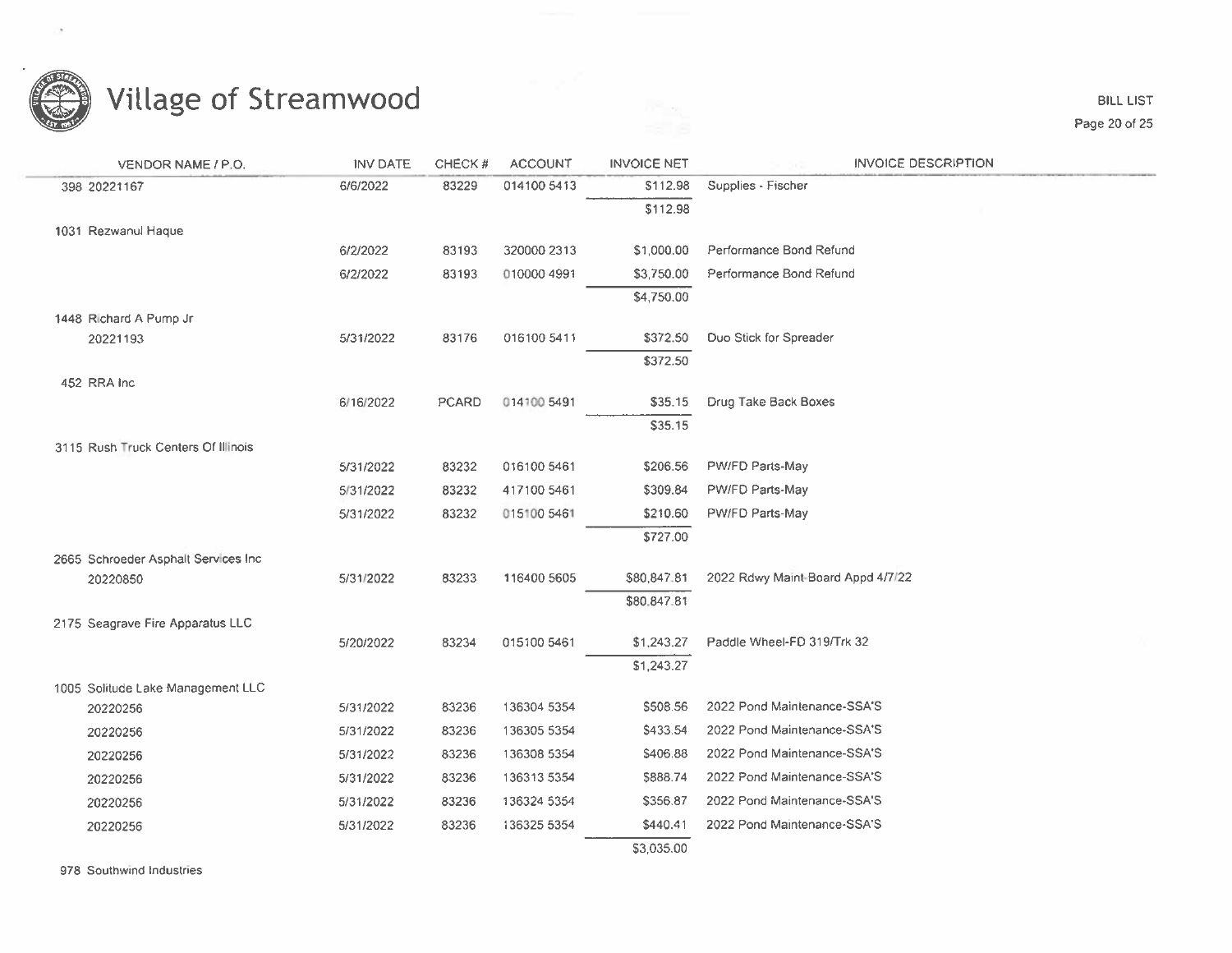

**BILL LIST** Page 20 of 25

| VENDOR NAME / P.O.                   | <b>INV DATE</b> | CHECK#       | <b>ACCOUNT</b> | <b>INVOICE NET</b> | <b>INVOICE DESCRIPTION</b>        |
|--------------------------------------|-----------------|--------------|----------------|--------------------|-----------------------------------|
| 398 20221167                         | 6/6/2022        | 83229        | 014100 5413    | \$112.98           | Supplies - Fischer                |
|                                      |                 |              |                | \$112.98           |                                   |
| 1031 Rezwanul Haque                  |                 |              |                |                    |                                   |
|                                      | 6/2/2022        | 83193        | 320000 2313    | \$1,000.00         | Performance Bond Refund           |
|                                      | 6/2/2022        | 83193        | 010000 4991    | \$3,750.00         | Performance Bond Refund           |
|                                      |                 |              |                | \$4,750.00         |                                   |
| 1448 Richard A Pump Jr.              |                 |              |                |                    |                                   |
| 20221193                             | 5/31/2022       | 83176        | 016100 5411    | \$372.50           | Duo Stick for Spreader            |
|                                      |                 |              |                | \$372.50           |                                   |
| 452 RRA Inc                          |                 |              |                |                    |                                   |
|                                      | 6/16/2022       | <b>PCARD</b> | 014100 5491    | \$35.15            | Drug Take Back Boxes              |
|                                      |                 |              |                | \$35.15            |                                   |
| 3115 Rush Truck Centers Of Illinois  |                 | 83232        | 016100 5461    | \$206.56           | PW/FD Parts-May                   |
|                                      | 5/31/2022       |              |                |                    |                                   |
|                                      | 5/31/2022       | 83232        | 417100 5461    | \$309.84           | PW/FD Parts-May                   |
|                                      | 5/31/2022       | 83232        | 015100 5461    | \$210.60           | PW/FD Parts-May                   |
|                                      |                 |              |                | \$727.00           |                                   |
| 2665 Schroeder Asphalt Services Inc. |                 |              |                | \$80,847.81        |                                   |
| 20220850                             | 5/31/2022       | 83233        | 116400 5605    |                    | 2022 Rdwy Maint-Board Appd 4/7/22 |
|                                      |                 |              |                | \$80,847.81        |                                   |
| 2175 Seagrave Fire Apparatus LLC     | 5/20/2022       | 83234        | 015100 5461    | \$1,243.27         | Paddle Wheel-FD 319/Trk 32        |
|                                      |                 |              |                | \$1,243.27         |                                   |
| 1005 Solitude Lake Management LLC    |                 |              |                |                    |                                   |
| 20220256                             | 5/31/2022       | 83236        | 136304 5354    | \$508.56           | 2022 Pond Maintenance-SSA'S       |
| 20220256                             | 5/31/2022       | 83236        | 136305 5354    | \$433.54           | 2022 Pond Maintenance-SSA'S       |
| 20220256                             | 5/31/2022       | 83236        | 136308 5354    | \$406.88           | 2022 Pond Maintenance-SSA'S       |
| 20220256                             | 5/31/2022       | 83236        | 136313 5354    | \$888.74           | 2022 Pond Maintenance-SSA'S       |
| 20220256                             | 5/31/2022       | 83236        | 136324 5354    | \$356.87           | 2022 Pond Maintenance-SSA'S       |
| 20220256                             | 5/31/2022       | 83236        | 136325 5354    | \$440.41           | 2022 Pond Maintenance-SSA'S       |
|                                      |                 |              |                | \$3,035.00         |                                   |
|                                      |                 |              |                |                    |                                   |

978 Southwind Industries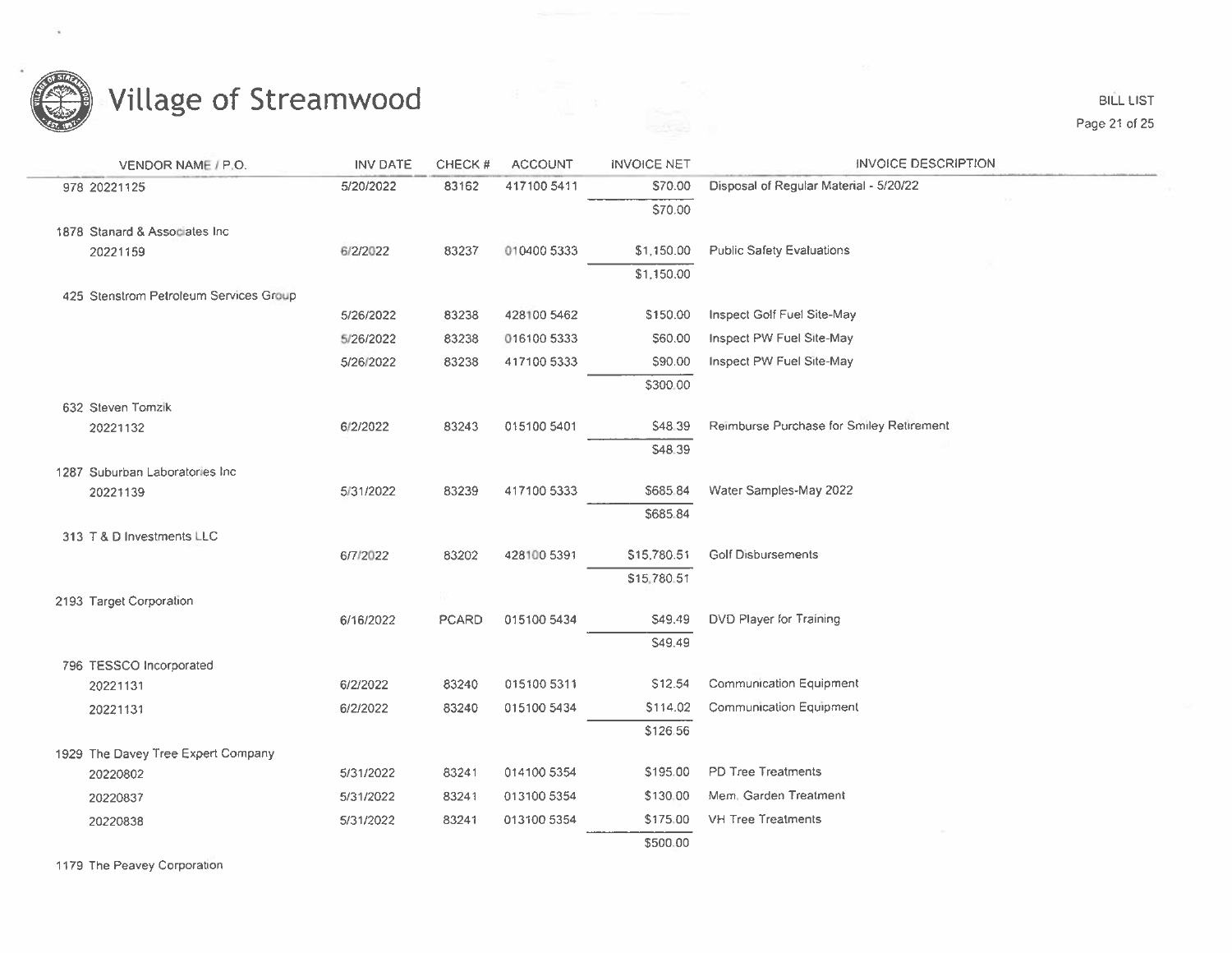

**BILL LIST** Page 21 of 25

| VENDOR NAME / P.O.                     | <b>INV DATE</b> | CHECK#       | <b>ACCOUNT</b> | <b>INVOICE NET</b> | <b>INVOICE DESCRIPTION</b>               |
|----------------------------------------|-----------------|--------------|----------------|--------------------|------------------------------------------|
| 978 20221125                           | 5/20/2022       | 83162        | 417100 5411    | \$70.00            | Disposal of Regular Material - 5/20/22   |
|                                        |                 |              |                | \$70.00            |                                          |
| 1878 Stanard & Associates Inc.         |                 |              |                |                    |                                          |
| 20221159                               | 6/2/2022        | 83237        | 010400 5333    | \$1,150.00         | <b>Public Safety Evaluations</b>         |
|                                        |                 |              |                | \$1,150.00         |                                          |
| 425 Stenstrom Petroleum Services Group |                 |              |                |                    |                                          |
|                                        | 5/26/2022       | 83238        | 428100 5462    | \$150.00           | Inspect Golf Fuel Site-May               |
|                                        | 5/26/2022       | 83238        | 016100 5333    | \$60.00            | Inspect PW Fuel Site-May                 |
|                                        | 5/26/2022       | 83238        | 417100 5333    | \$90.00            | Inspect PW Fuel Site-May                 |
|                                        |                 |              |                | \$300.00           |                                          |
| 632 Steven Tomzik                      |                 |              |                |                    |                                          |
| 20221132                               | 6/2/2022        | 83243        | 015100 5401    | \$48.39            | Reimburse Purchase for Smiley Retirement |
|                                        |                 |              |                | \$48.39            |                                          |
| 1287 Suburban Laboratories Inc.        | 5/31/2022       | 83239        | 417100 5333    | \$685.84           | Water Samples-May 2022                   |
| 20221139                               |                 |              |                | \$685.84           |                                          |
| 313 T & D Investments LLC              |                 |              |                |                    |                                          |
|                                        | 6/7/2022        | 83202        | 428100 5391    | \$15,780.51        | <b>Golf Disbursements</b>                |
|                                        |                 |              |                | \$15,780.51        |                                          |
| 2193 Target Corporation                |                 |              |                |                    |                                          |
|                                        | 6/16/2022       | <b>PCARD</b> | 015100 5434    | \$49.49            | DVD Player for Training                  |
|                                        |                 |              |                | S49.49             |                                          |
| 796 TESSCO Incorporated                |                 |              |                |                    |                                          |
| 20221131                               | 6/2/2022        | 83240        | 015100 5311    | S12.54             | Communication Equipment                  |
| 20221131                               | 6/2/2022        | 83240        | 015100 5434    | \$114.02           | Communication Equipment                  |
|                                        |                 |              |                | \$126.56           |                                          |
| 1929 The Davey Tree Expert Company     |                 |              |                |                    |                                          |
| 20220802                               | 5/31/2022       | 83241        | 014100 5354    | \$195.00           | PD Tree Treatments                       |
| 20220837                               | 5/31/2022       | 83241        | 013100 5354    | \$130.00           | Mem. Garden Treatment                    |
| 20220838                               | 5/31/2022       | 83241        | 013100 5354    | \$175.00           | VH Tree Treatments                       |
|                                        |                 |              |                | \$500.00           |                                          |
|                                        |                 |              |                |                    |                                          |

1179 The Peavey Corporation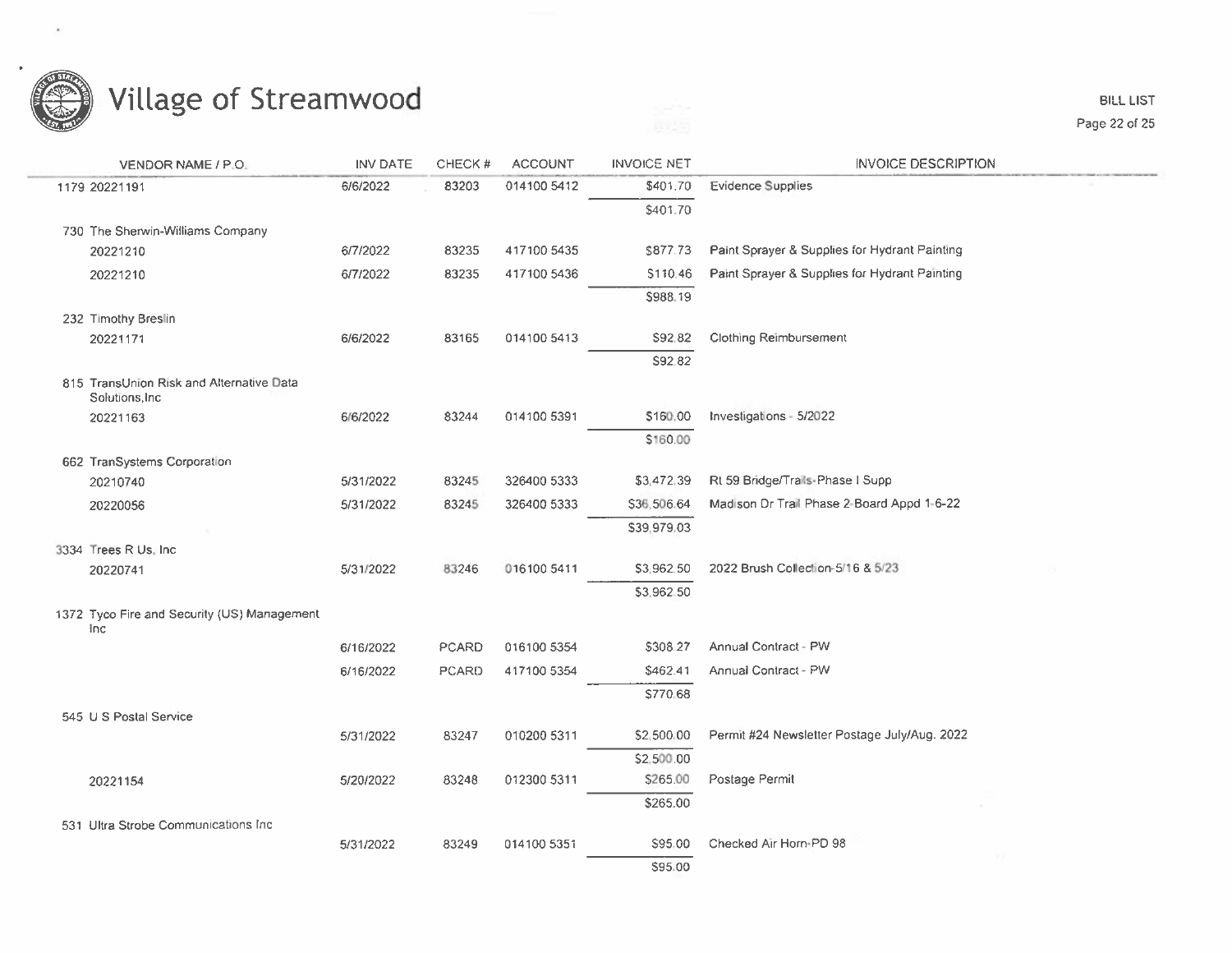

| VENDOR NAME / P.O.                                          | <b>INV DATE</b> | CHECK#       | <b>ACCOUNT</b> | <b>INVOICE NET</b> | <b>INVOICE DESCRIPTION</b>                    |
|-------------------------------------------------------------|-----------------|--------------|----------------|--------------------|-----------------------------------------------|
| 1179 20221191                                               | 6/6/2022        | 83203        | 014100 5412    | \$401.70           | <b>Evidence Supplies</b>                      |
|                                                             |                 |              |                | \$401.70           |                                               |
| 730 The Sherwin-Williams Company                            |                 |              |                |                    |                                               |
| 20221210                                                    | 6/7/2022        | 83235        | 417100 5435    | \$877.73           | Paint Sprayer & Supplies for Hydrant Painting |
| 20221210                                                    | 6/7/2022        | 83235        | 417100 5436    | \$110.46           | Paint Sprayer & Supplies for Hydrant Painting |
|                                                             |                 |              |                | \$988.19           |                                               |
| 232 Timothy Breslin                                         |                 |              |                |                    |                                               |
| 20221171                                                    | 6/6/2022        | 83165        | 014100 5413    | \$92,82            | <b>Clothing Reimbursement</b>                 |
|                                                             |                 |              |                | S92.82             |                                               |
| 815 TransUnion Risk and Alternative Data<br>Solutions, Inc. |                 |              |                |                    |                                               |
| 20221163                                                    | 6/6/2022        | 83244        | 014100 5391    | \$160.00           | Investigations - 5/2022                       |
|                                                             |                 |              |                | \$160.00           |                                               |
| 662 TranSystems Corporation                                 |                 |              |                |                    |                                               |
| 20210740                                                    | 5/31/2022       | 83245        | 326400 5333    | \$3,472,39         | Rt 59 Bridge/Trails-Phase I Supp              |
| 20220056                                                    | 5/31/2022       | 83245        | 326400 5333    | \$36,506.64        | Madison Dr Trail Phase 2-Board Appd 1-6-22    |
|                                                             |                 |              |                | \$39,979.03        |                                               |
| 3334 Trees R Us, Inc.                                       |                 |              |                |                    |                                               |
| 20220741                                                    | 5/31/2022       | 83246        | 016100 5411    | \$3,962.50         | 2022 Brush Collection-5/16 & 5/23             |
|                                                             |                 |              |                | \$3,962.50         |                                               |
| 1372 Tyco Fire and Security (US) Management<br>Inc          |                 |              |                |                    |                                               |
|                                                             | 6/16/2022       | <b>PCARD</b> | 016100 5354    | \$308.27           | Annual Contract - PW                          |
|                                                             | 6/16/2022       | PCARD        | 417100 5354    | \$462.41           | Annual Contract - PW                          |
|                                                             |                 |              |                | \$770.68           |                                               |
| 545 U S Postal Service                                      |                 |              |                |                    |                                               |
|                                                             | 5/31/2022       | 83247        | 010200 5311    | \$2,500.00         | Permit #24 Newsletter Postage July/Aug. 2022  |
|                                                             |                 |              |                | \$2,500.00         |                                               |
| 20221154                                                    | 5/20/2022       | 83248        | 012300 5311    | \$265.00           | Postage Permit                                |
|                                                             |                 |              |                | \$265.00           |                                               |
| 531 Ultra Strobe Communications Inc.                        |                 |              |                |                    |                                               |
|                                                             | 5/31/2022       | 83249        | 014100 5351    | S95.00             | Checked Air Horn-PD 98                        |
|                                                             |                 |              |                | \$95.00            |                                               |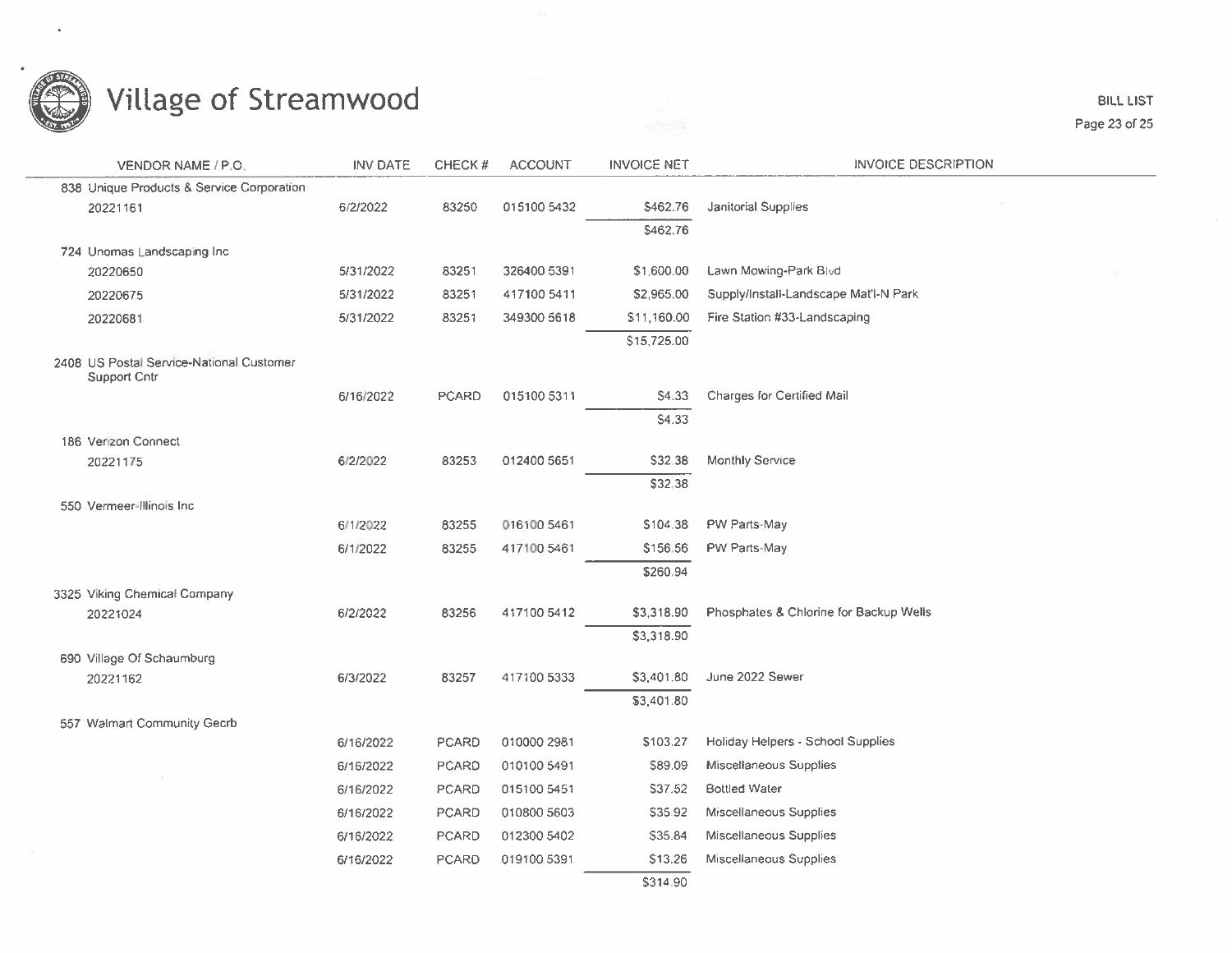

**BILL LIST** Page 23 of 25

| VENDOR NAME / P.O.                                       | <b>INV DATE</b> | CHECK#       | <b>ACCOUNT</b> | <b>INVOICE NET</b> | <b>INVOICE DESCRIPTION</b>             |  |
|----------------------------------------------------------|-----------------|--------------|----------------|--------------------|----------------------------------------|--|
| 838 Unique Products & Service Corporation                |                 |              |                |                    |                                        |  |
| 20221161                                                 | 6/2/2022        | 83250        | 015100 5432    | \$462.76           | Janitorial Supplies                    |  |
|                                                          |                 |              |                | \$462.76           |                                        |  |
| 724 Unomas Landscaping Inc.                              |                 |              |                |                    |                                        |  |
| 20220650                                                 | 5/31/2022       | 83251        | 326400 5391    | \$1,600.00         | Lawn Mowing-Park Blvd                  |  |
| 20220675                                                 | 5/31/2022       | 83251        | 417100 5411    | \$2,965.00         | Supply/Install-Landscape Mat'l-N Park  |  |
| 20220681                                                 | 5/31/2022       | 83251        | 349300 5618    | \$11,160.00        | Fire Station #33-Landscaping           |  |
|                                                          |                 |              |                | \$15,725.00        |                                        |  |
| 2408 US Postal Service-National Customer<br>Support Cntr |                 |              |                |                    |                                        |  |
|                                                          | 6/16/2022       | <b>PCARD</b> | 015100 5311    | S4.33              | Charges for Certified Mail             |  |
|                                                          |                 |              |                | <b>S4.33</b>       |                                        |  |
| 186 Verizon Connect                                      |                 |              |                |                    |                                        |  |
| 20221175                                                 | 6/2/2022        | 83253        | 012400 5651    | \$32.38            | Monthly Service                        |  |
|                                                          |                 |              |                | \$32.38            |                                        |  |
| 550 Vermeer-Illinois Inc.                                |                 |              |                |                    |                                        |  |
|                                                          | 6/1/2022        | 83255        | 016100 5461    | \$104.38           | PW Parts-May                           |  |
|                                                          | 6/1/2022        | 83255        | 417100 5461    | \$156.56           | PW Parts-May                           |  |
|                                                          |                 |              |                | \$260.94           |                                        |  |
| 3325 Viking Chemical Company                             |                 |              |                |                    |                                        |  |
| 20221024                                                 | 6/2/2022        | 83256        | 417100 5412    | \$3,318.90         | Phosphates & Chlorine for Backup Wells |  |
|                                                          |                 |              |                | \$3,318.90         |                                        |  |
| 690 Village Of Schaumburg                                |                 |              |                |                    |                                        |  |
| 20221162                                                 | 6/3/2022        | 83257        | 417100 5333    | \$3,401.80         | June 2022 Sewer                        |  |
|                                                          |                 |              |                | \$3,401.80         |                                        |  |
| 557 Walmart Community Gecrb                              |                 |              |                |                    |                                        |  |
|                                                          | 6/16/2022       | <b>PCARD</b> | 010000 2981    | \$103.27           | Holiday Helpers - School Supplies      |  |
|                                                          | 6/16/2022       | <b>PCARD</b> | 010100 5491    | \$89.09            | Miscellaneous Supplies                 |  |
|                                                          | 6/16/2022       | <b>PCARD</b> | 015100 5451    | S37.52             | <b>Bottled Water</b>                   |  |
|                                                          | 6/16/2022       | PCARD        | 010800 5603    | \$35.92            | Miscellaneous Supplies                 |  |
|                                                          | 6/16/2022       | <b>PCARD</b> | 012300 5402    | \$35.84            | Miscellaneous Supplies                 |  |
|                                                          | 6/16/2022       | <b>PCARD</b> | 019100 5391    | \$13.26            | Miscellaneous Supplies                 |  |
|                                                          |                 |              |                | \$314.90           |                                        |  |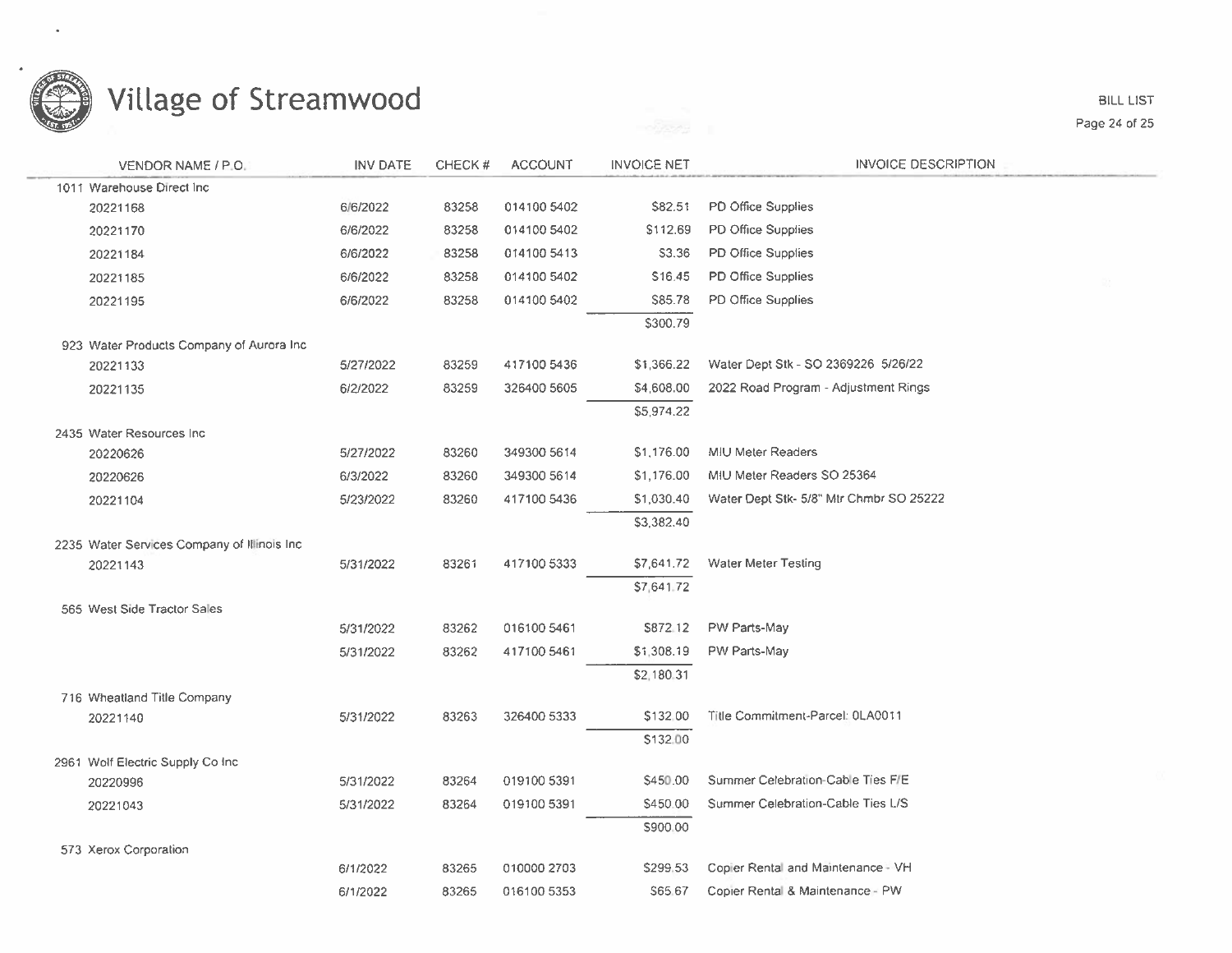

| VENDOR NAME / P.O.                            | <b>INV DATE</b> | CHECK# | <b>ACCOUNT</b> | <b>INVOICE NET</b> | <b>INVOICE DESCRIPTION</b>              |
|-----------------------------------------------|-----------------|--------|----------------|--------------------|-----------------------------------------|
| 1011 Warehouse Direct Inc.                    |                 |        |                |                    |                                         |
| 20221168                                      | 6/6/2022        | 83258  | 014100 5402    | <b>\$82.51</b>     | PD Office Supplies                      |
| 20221170                                      | 6/6/2022        | 83258  | 014100 5402    | \$112.69           | PD Office Supplies                      |
| 20221184                                      | 6/6/2022        | 83258  | 014100 5413    | S3.36              | PD Office Supplies                      |
| 20221185                                      | 6/6/2022        | 83258  | 014100 5402    | \$16.45            | PD Office Supplies                      |
| 20221195                                      | 6/6/2022        | 83258  | 014100 5402    | S85.78             | PD Office Supplies                      |
|                                               |                 |        |                | \$300.79           |                                         |
| 923 Water Products Company of Aurora Inc.     |                 |        |                |                    |                                         |
| 20221133                                      | 5/27/2022       | 83259  | 417100 5436    | \$1,366.22         | Water Dept Stk - SO 2369226 5/26/22     |
| 20221135                                      | 6/2/2022        | 83259  | 326400 5605    | \$4,608.00         | 2022 Road Program - Adjustment Rings    |
|                                               |                 |        |                | \$5,974.22         |                                         |
| 2435 Water Resources Inc.                     |                 |        |                |                    |                                         |
| 20220626                                      | 5/27/2022       | 83260  | 349300 5614    | \$1,176.00         | <b>MIU Meter Readers</b>                |
| 20220626                                      | 6/3/2022        | 83260  | 349300 5614    | \$1,176.00         | MIU Meter Readers SO 25364              |
| 20221104                                      | 5/23/2022       | 83260  | 417100 5436    | \$1,030.40         | Water Dept Stk- 5/8" Mtr Chmbr SO 25222 |
|                                               |                 |        |                | \$3,382.40         |                                         |
| 2235 Water Services Company of Illinois Inc.  |                 |        |                |                    |                                         |
| 20221143                                      | 5/31/2022       | 83261  | 417100 5333    | \$7,641.72         | <b>Water Meter Testing</b>              |
|                                               |                 |        |                | \$7,641.72         |                                         |
| 565 West Side Tractor Sales                   |                 |        |                |                    |                                         |
|                                               | 5/31/2022       | 83262  | 016100 5461    | \$872.12           | PW Parts-May                            |
|                                               | 5/31/2022       | 83262  | 417100 5461    | \$1,308.19         | PW Parts-May                            |
|                                               |                 |        |                | \$2,180.31         |                                         |
| 716 Wheatland Title Company                   |                 |        |                |                    |                                         |
| 20221140                                      | 5/31/2022       | 83263  | 326400 5333    | \$132,00           | Title Commitment-Parcel: 0LA0011        |
|                                               |                 |        |                | \$132.00           |                                         |
| 2961 Wolf Electric Supply Co Inc.<br>20220996 | 5/31/2022       | 83264  | 019100 5391    | \$450.00           | Summer Celebration-Cable Ties F/E       |
|                                               | 5/31/2022       | 83264  | 019100 5391    | \$450.00           | Summer Celebration-Cable Ties L/S       |
| 20221043                                      |                 |        |                | \$900.00           |                                         |
| 573 Xerox Corporation                         |                 |        |                |                    |                                         |
|                                               | 6/1/2022        | 83265  | 010000 2703    | \$299.53           | Copier Rental and Maintenance - VH      |
|                                               | 6/1/2022        | 83265  | 016100 5353    | S65.67             | Copier Rental & Maintenance - PW        |
|                                               |                 |        |                |                    |                                         |

**BILL LIST** Page 24 of 25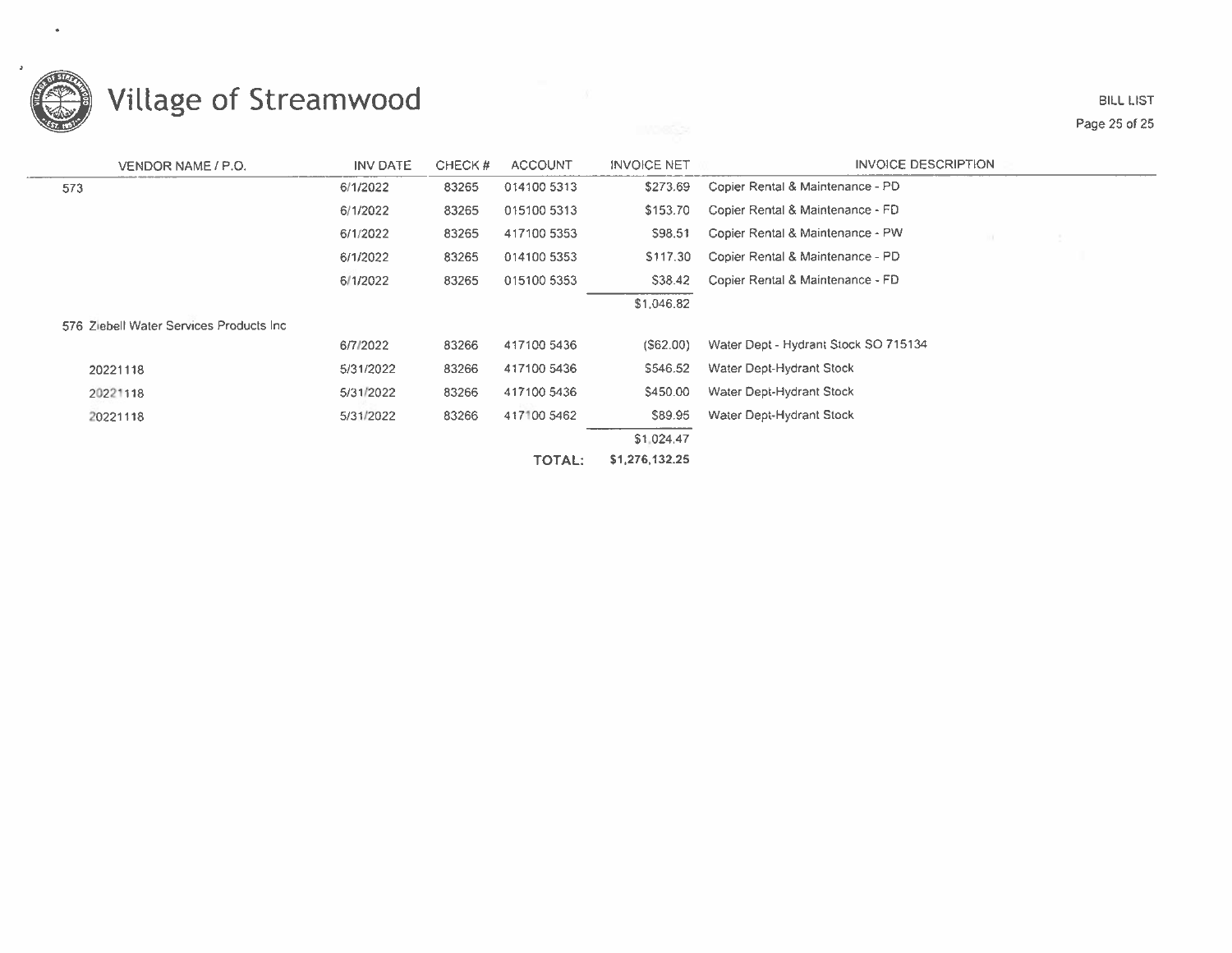

#### **BILL LIST** Page 25 of 25

| VENDOR NAME / P.O.                       | INV DATE  | CHECK# | <b>ACCOUNT</b> | <b>INVOICE NET</b> | <b>INVOICE DESCRIPTION</b>           |
|------------------------------------------|-----------|--------|----------------|--------------------|--------------------------------------|
| 573                                      | 6/1/2022  | 83265  | 014100 5313    | \$273.69           | Copier Rental & Maintenance - PD     |
|                                          | 6/1/2022  | 83265  | 015100 5313    | \$153.70           | Copier Rental & Maintenance - FD     |
|                                          | 6/1/2022  | 83265  | 417100 5353    | \$98.51            | Copier Rental & Maintenance - PW     |
|                                          | 6/1/2022  | 83265  | 014100 5353    | \$117.30           | Copier Rental & Maintenance - PD     |
|                                          | 6/1/2022  | 83265  | 015100 5353    | \$38.42            | Copier Rental & Maintenance - FD     |
|                                          |           |        |                | \$1,046.82         |                                      |
| 576 Ziebell Water Services Products Inc. |           |        |                |                    |                                      |
|                                          | 6/7/2022  | 83266  | 417100 5436    | (S62.00)           | Water Dept - Hydrant Stock SO 715134 |
| 20221118                                 | 5/31/2022 | 83266  | 417100 5436    | \$546.52           | Water Dept-Hydrant Stock             |
| 20221118                                 | 5/31/2022 | 83266  | 417100 5436    | \$450.00           | Water Dept-Hydrant Stock             |
| 20221118                                 | 5/31/2022 | 83266  | 417100 5462    | \$89.95            | Water Dept-Hydrant Stock             |
|                                          |           |        |                | \$1,024.47         |                                      |
|                                          |           |        | <b>TOTAL:</b>  | \$1,276,132.25     |                                      |